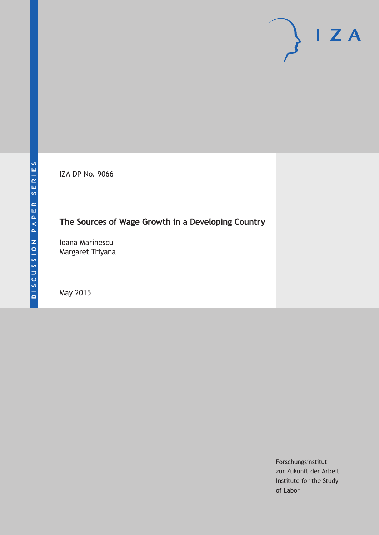IZA DP No. 9066

# **The Sources of Wage Growth in a Developing Country**

Ioana Marinescu Margaret Triyana

May 2015

Forschungsinstitut zur Zukunft der Arbeit Institute for the Study of Labor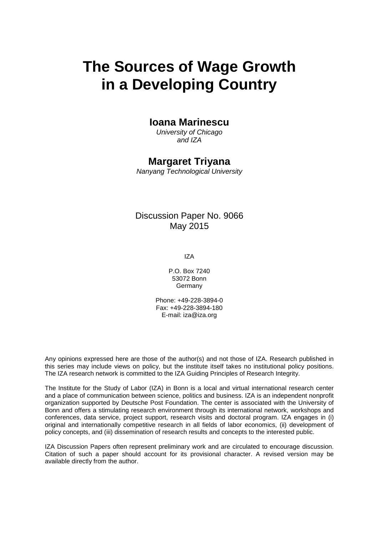# **The Sources of Wage Growth in a Developing Country**

## **Ioana Marinescu**

*University of Chicago and IZA*

## **Margaret Triyana**

*Nanyang Technological University*

# Discussion Paper No. 9066 May 2015

IZA

P.O. Box 7240 53072 Bonn **Germany** 

Phone: +49-228-3894-0 Fax: +49-228-3894-180 E-mail: iza@iza.org

Any opinions expressed here are those of the author(s) and not those of IZA. Research published in this series may include views on policy, but the institute itself takes no institutional policy positions. The IZA research network is committed to the IZA Guiding Principles of Research Integrity.

The Institute for the Study of Labor (IZA) in Bonn is a local and virtual international research center and a place of communication between science, politics and business. IZA is an independent nonprofit organization supported by Deutsche Post Foundation. The center is associated with the University of Bonn and offers a stimulating research environment through its international network, workshops and conferences, data service, project support, research visits and doctoral program. IZA engages in (i) original and internationally competitive research in all fields of labor economics, (ii) development of policy concepts, and (iii) dissemination of research results and concepts to the interested public.

IZA Discussion Papers often represent preliminary work and are circulated to encourage discussion. Citation of such a paper should account for its provisional character. A revised version may be available directly from the author.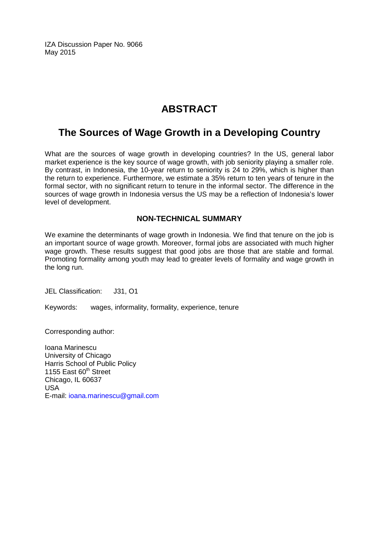IZA Discussion Paper No. 9066 May 2015

# **ABSTRACT**

# **The Sources of Wage Growth in a Developing Country**

What are the sources of wage growth in developing countries? In the US, general labor market experience is the key source of wage growth, with job seniority playing a smaller role. By contrast, in Indonesia, the 10-year return to seniority is 24 to 29%, which is higher than the return to experience. Furthermore, we estimate a 35% return to ten years of tenure in the formal sector, with no significant return to tenure in the informal sector. The difference in the sources of wage growth in Indonesia versus the US may be a reflection of Indonesia's lower level of development.

### **NON-TECHNICAL SUMMARY**

We examine the determinants of wage growth in Indonesia. We find that tenure on the job is an important source of wage growth. Moreover, formal jobs are associated with much higher wage growth. These results suggest that good jobs are those that are stable and formal. Promoting formality among youth may lead to greater levels of formality and wage growth in the long run.

JEL Classification: J31, O1

Keywords: wages, informality, formality, experience, tenure

Corresponding author:

Ioana Marinescu University of Chicago Harris School of Public Policy 1155 East 60<sup>th</sup> Street Chicago, IL 60637 USA E-mail: [ioana.marinescu@gmail.com](mailto:ioana.marinescu@gmail.com)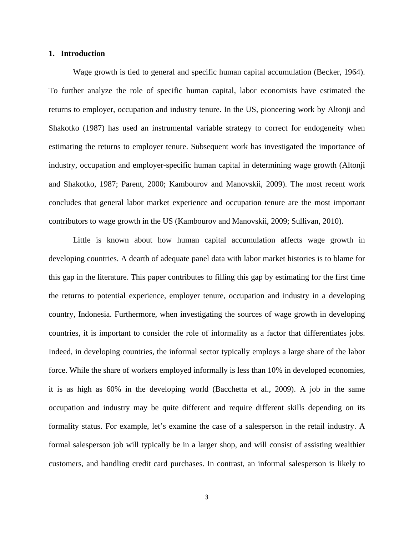#### **1. Introduction**

Wage growth is tied to general and specific human capital accumulation (Becker, 1964). To further analyze the role of specific human capital, labor economists have estimated the returns to employer, occupation and industry tenure. In the US, pioneering work by Altonji and Shakotko (1987) has used an instrumental variable strategy to correct for endogeneity when estimating the returns to employer tenure. Subsequent work has investigated the importance of industry, occupation and employer-specific human capital in determining wage growth (Altonji and Shakotko, 1987; Parent, 2000; Kambourov and Manovskii, 2009). The most recent work concludes that general labor market experience and occupation tenure are the most important contributors to wage growth in the US (Kambourov and Manovskii, 2009; Sullivan, 2010).

Little is known about how human capital accumulation affects wage growth in developing countries. A dearth of adequate panel data with labor market histories is to blame for this gap in the literature. This paper contributes to filling this gap by estimating for the first time the returns to potential experience, employer tenure, occupation and industry in a developing country, Indonesia. Furthermore, when investigating the sources of wage growth in developing countries, it is important to consider the role of informality as a factor that differentiates jobs. Indeed, in developing countries, the informal sector typically employs a large share of the labor force. While the share of workers employed informally is less than 10% in developed economies, it is as high as 60% in the developing world (Bacchetta et al., 2009). A job in the same occupation and industry may be quite different and require different skills depending on its formality status. For example, let's examine the case of a salesperson in the retail industry. A formal salesperson job will typically be in a larger shop, and will consist of assisting wealthier customers, and handling credit card purchases. In contrast, an informal salesperson is likely to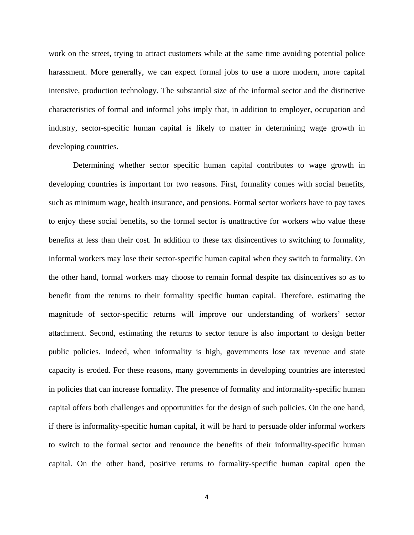work on the street, trying to attract customers while at the same time avoiding potential police harassment. More generally, we can expect formal jobs to use a more modern, more capital intensive, production technology. The substantial size of the informal sector and the distinctive characteristics of formal and informal jobs imply that, in addition to employer, occupation and industry, sector-specific human capital is likely to matter in determining wage growth in developing countries.

Determining whether sector specific human capital contributes to wage growth in developing countries is important for two reasons. First, formality comes with social benefits, such as minimum wage, health insurance, and pensions. Formal sector workers have to pay taxes to enjoy these social benefits, so the formal sector is unattractive for workers who value these benefits at less than their cost. In addition to these tax disincentives to switching to formality, informal workers may lose their sector-specific human capital when they switch to formality. On the other hand, formal workers may choose to remain formal despite tax disincentives so as to benefit from the returns to their formality specific human capital. Therefore, estimating the magnitude of sector-specific returns will improve our understanding of workers' sector attachment. Second, estimating the returns to sector tenure is also important to design better public policies. Indeed, when informality is high, governments lose tax revenue and state capacity is eroded. For these reasons, many governments in developing countries are interested in policies that can increase formality. The presence of formality and informality-specific human capital offers both challenges and opportunities for the design of such policies. On the one hand, if there is informality-specific human capital, it will be hard to persuade older informal workers to switch to the formal sector and renounce the benefits of their informality-specific human capital. On the other hand, positive returns to formality-specific human capital open the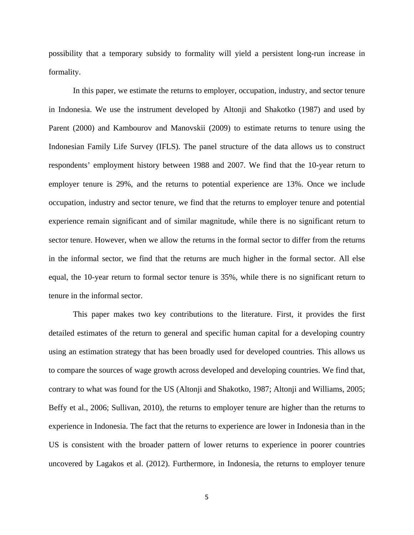possibility that a temporary subsidy to formality will yield a persistent long-run increase in formality.

 In this paper, we estimate the returns to employer, occupation, industry, and sector tenure in Indonesia. We use the instrument developed by Altonji and Shakotko (1987) and used by Parent (2000) and Kambourov and Manovskii (2009) to estimate returns to tenure using the Indonesian Family Life Survey (IFLS). The panel structure of the data allows us to construct respondents' employment history between 1988 and 2007. We find that the 10-year return to employer tenure is 29%, and the returns to potential experience are 13%. Once we include occupation, industry and sector tenure, we find that the returns to employer tenure and potential experience remain significant and of similar magnitude, while there is no significant return to sector tenure. However, when we allow the returns in the formal sector to differ from the returns in the informal sector, we find that the returns are much higher in the formal sector. All else equal, the 10-year return to formal sector tenure is 35%, while there is no significant return to tenure in the informal sector.

This paper makes two key contributions to the literature. First, it provides the first detailed estimates of the return to general and specific human capital for a developing country using an estimation strategy that has been broadly used for developed countries. This allows us to compare the sources of wage growth across developed and developing countries. We find that, contrary to what was found for the US (Altonji and Shakotko, 1987; Altonji and Williams, 2005; Beffy et al., 2006; Sullivan, 2010), the returns to employer tenure are higher than the returns to experience in Indonesia. The fact that the returns to experience are lower in Indonesia than in the US is consistent with the broader pattern of lower returns to experience in poorer countries uncovered by Lagakos et al. (2012). Furthermore, in Indonesia, the returns to employer tenure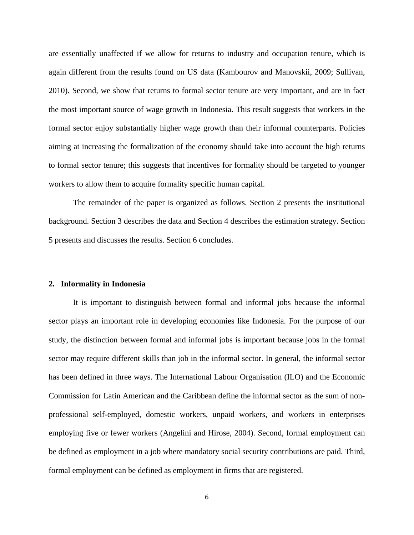are essentially unaffected if we allow for returns to industry and occupation tenure, which is again different from the results found on US data (Kambourov and Manovskii, 2009; Sullivan, 2010). Second, we show that returns to formal sector tenure are very important, and are in fact the most important source of wage growth in Indonesia. This result suggests that workers in the formal sector enjoy substantially higher wage growth than their informal counterparts. Policies aiming at increasing the formalization of the economy should take into account the high returns to formal sector tenure; this suggests that incentives for formality should be targeted to younger workers to allow them to acquire formality specific human capital.

The remainder of the paper is organized as follows. Section 2 presents the institutional background. Section 3 describes the data and Section 4 describes the estimation strategy. Section 5 presents and discusses the results. Section 6 concludes.

#### **2. Informality in Indonesia**

It is important to distinguish between formal and informal jobs because the informal sector plays an important role in developing economies like Indonesia. For the purpose of our study, the distinction between formal and informal jobs is important because jobs in the formal sector may require different skills than job in the informal sector. In general, the informal sector has been defined in three ways. The International Labour Organisation (ILO) and the Economic Commission for Latin American and the Caribbean define the informal sector as the sum of nonprofessional self-employed, domestic workers, unpaid workers, and workers in enterprises employing five or fewer workers (Angelini and Hirose, 2004). Second, formal employment can be defined as employment in a job where mandatory social security contributions are paid. Third, formal employment can be defined as employment in firms that are registered.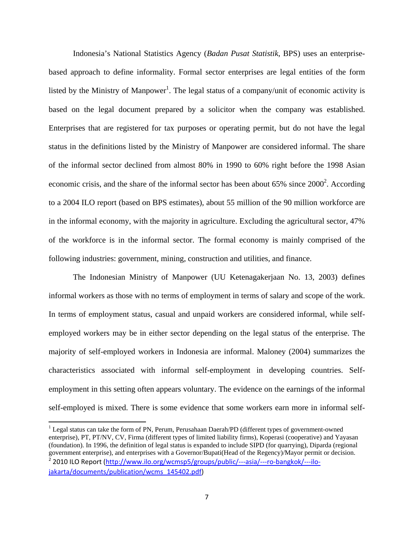Indonesia's National Statistics Agency (*Badan Pusat Statistik*, BPS) uses an enterprisebased approach to define informality. Formal sector enterprises are legal entities of the form listed by the Ministry of Manpower<sup>1</sup>. The legal status of a company/unit of economic activity is based on the legal document prepared by a solicitor when the company was established. Enterprises that are registered for tax purposes or operating permit, but do not have the legal status in the definitions listed by the Ministry of Manpower are considered informal. The share of the informal sector declined from almost 80% in 1990 to 60% right before the 1998 Asian economic crisis, and the share of the informal sector has been about  $65\%$  since  $2000^2$ . According to a 2004 ILO report (based on BPS estimates), about 55 million of the 90 million workforce are in the informal economy, with the majority in agriculture. Excluding the agricultural sector, 47% of the workforce is in the informal sector. The formal economy is mainly comprised of the following industries: government, mining, construction and utilities, and finance.

The Indonesian Ministry of Manpower (UU Ketenagakerjaan No. 13, 2003) defines informal workers as those with no terms of employment in terms of salary and scope of the work. In terms of employment status, casual and unpaid workers are considered informal, while selfemployed workers may be in either sector depending on the legal status of the enterprise. The majority of self-employed workers in Indonesia are informal. Maloney (2004) summarizes the characteristics associated with informal self-employment in developing countries. Selfemployment in this setting often appears voluntary. The evidence on the earnings of the informal self-employed is mixed. There is some evidence that some workers earn more in informal self-

 $1$  Legal status can take the form of PN, Perum, Perusahaan Daerah/PD (different types of government-owned enterprise), PT, PT/NV, CV, Firma (different types of limited liability firms), Koperasi (cooperative) and Yayasan (foundation). In 1996, the definition of legal status is expanded to include SIPD (for quarrying), Diparda (regional government enterprise), and enterprises with a Governor/Bupati(Head of the Regency)/Mayor permit or decision. <sup>2</sup> 2010 ILO Report (http://www.ilo.org/wcmsp5/groups/public/---asia/---ro-bangkok/---ilojakarta/documents/publication/wcms\_145402.pdf)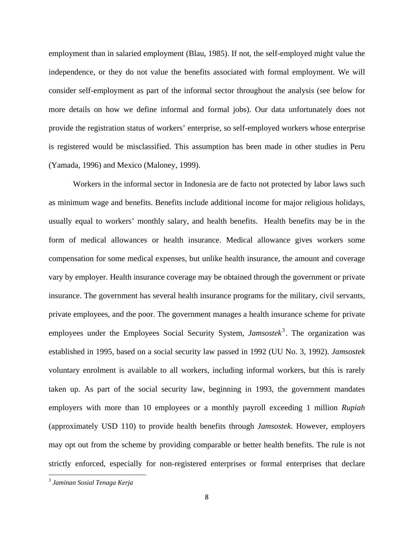employment than in salaried employment (Blau, 1985). If not, the self-employed might value the independence, or they do not value the benefits associated with formal employment. We will consider self-employment as part of the informal sector throughout the analysis (see below for more details on how we define informal and formal jobs). Our data unfortunately does not provide the registration status of workers' enterprise, so self-employed workers whose enterprise is registered would be misclassified. This assumption has been made in other studies in Peru (Yamada, 1996) and Mexico (Maloney, 1999).

Workers in the informal sector in Indonesia are de facto not protected by labor laws such as minimum wage and benefits. Benefits include additional income for major religious holidays, usually equal to workers' monthly salary, and health benefits. Health benefits may be in the form of medical allowances or health insurance. Medical allowance gives workers some compensation for some medical expenses, but unlike health insurance, the amount and coverage vary by employer. Health insurance coverage may be obtained through the government or private insurance. The government has several health insurance programs for the military, civil servants, private employees, and the poor. The government manages a health insurance scheme for private employees under the Employees Social Security System, *Jamsostek*<sup>3</sup>. The organization was established in 1995, based on a social security law passed in 1992 (UU No. 3, 1992). *Jamsostek* voluntary enrolment is available to all workers, including informal workers, but this is rarely taken up. As part of the social security law, beginning in 1993, the government mandates employers with more than 10 employees or a monthly payroll exceeding 1 million *Rupiah* (approximately USD 110) to provide health benefits through *Jamsostek*. However, employers may opt out from the scheme by providing comparable or better health benefits. The rule is not strictly enforced, especially for non-registered enterprises or formal enterprises that declare

<sup>3</sup> *Jaminan Sosial Tenaga Kerja*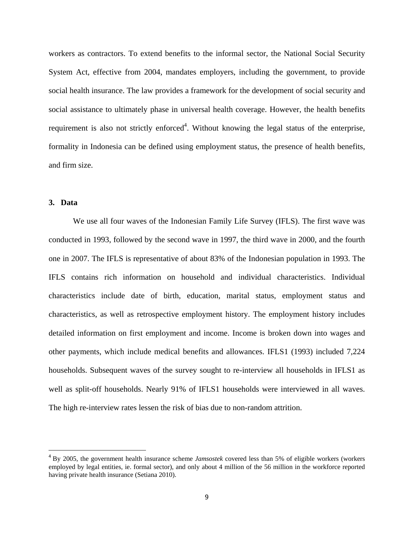workers as contractors. To extend benefits to the informal sector, the National Social Security System Act, effective from 2004, mandates employers, including the government, to provide social health insurance. The law provides a framework for the development of social security and social assistance to ultimately phase in universal health coverage. However, the health benefits requirement is also not strictly enforced<sup>4</sup>. Without knowing the legal status of the enterprise, formality in Indonesia can be defined using employment status, the presence of health benefits, and firm size.

#### **3. Data**

We use all four waves of the Indonesian Family Life Survey (IFLS). The first wave was conducted in 1993, followed by the second wave in 1997, the third wave in 2000, and the fourth one in 2007. The IFLS is representative of about 83% of the Indonesian population in 1993. The IFLS contains rich information on household and individual characteristics. Individual characteristics include date of birth, education, marital status, employment status and characteristics, as well as retrospective employment history. The employment history includes detailed information on first employment and income. Income is broken down into wages and other payments, which include medical benefits and allowances. IFLS1 (1993) included 7,224 households. Subsequent waves of the survey sought to re-interview all households in IFLS1 as well as split-off households. Nearly 91% of IFLS1 households were interviewed in all waves. The high re-interview rates lessen the risk of bias due to non-random attrition.

<sup>4</sup> By 2005, the government health insurance scheme *Jamsostek* covered less than 5% of eligible workers (workers employed by legal entities, ie. formal sector), and only about 4 million of the 56 million in the workforce reported having private health insurance (Setiana 2010).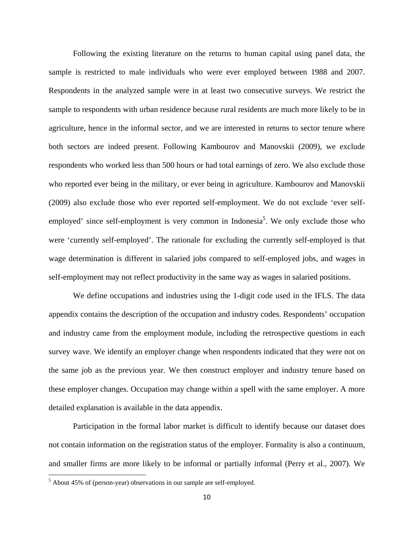Following the existing literature on the returns to human capital using panel data, the sample is restricted to male individuals who were ever employed between 1988 and 2007. Respondents in the analyzed sample were in at least two consecutive surveys. We restrict the sample to respondents with urban residence because rural residents are much more likely to be in agriculture, hence in the informal sector, and we are interested in returns to sector tenure where both sectors are indeed present. Following Kambourov and Manovskii (2009), we exclude respondents who worked less than 500 hours or had total earnings of zero. We also exclude those who reported ever being in the military, or ever being in agriculture. Kambourov and Manovskii (2009) also exclude those who ever reported self-employment. We do not exclude 'ever selfemployed' since self-employment is very common in Indonesia<sup>5</sup>. We only exclude those who were 'currently self-employed'. The rationale for excluding the currently self-employed is that wage determination is different in salaried jobs compared to self-employed jobs, and wages in self-employment may not reflect productivity in the same way as wages in salaried positions.

We define occupations and industries using the 1-digit code used in the IFLS. The data appendix contains the description of the occupation and industry codes. Respondents' occupation and industry came from the employment module, including the retrospective questions in each survey wave. We identify an employer change when respondents indicated that they were not on the same job as the previous year. We then construct employer and industry tenure based on these employer changes. Occupation may change within a spell with the same employer. A more detailed explanation is available in the data appendix.

Participation in the formal labor market is difficult to identify because our dataset does not contain information on the registration status of the employer. Formality is also a continuum, and smaller firms are more likely to be informal or partially informal (Perry et al., 2007). We

 5 About 45% of (person-year) observations in our sample are self-employed.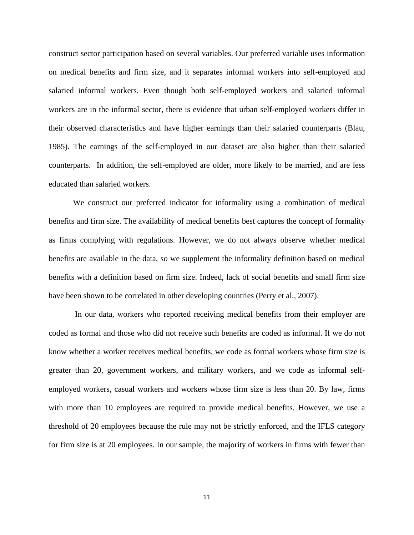construct sector participation based on several variables. Our preferred variable uses information on medical benefits and firm size, and it separates informal workers into self-employed and salaried informal workers. Even though both self-employed workers and salaried informal workers are in the informal sector, there is evidence that urban self-employed workers differ in their observed characteristics and have higher earnings than their salaried counterparts (Blau, 1985). The earnings of the self-employed in our dataset are also higher than their salaried counterparts. In addition, the self-employed are older, more likely to be married, and are less educated than salaried workers.

We construct our preferred indicator for informality using a combination of medical benefits and firm size. The availability of medical benefits best captures the concept of formality as firms complying with regulations. However, we do not always observe whether medical benefits are available in the data, so we supplement the informality definition based on medical benefits with a definition based on firm size. Indeed, lack of social benefits and small firm size have been shown to be correlated in other developing countries (Perry et al., 2007).

 In our data, workers who reported receiving medical benefits from their employer are coded as formal and those who did not receive such benefits are coded as informal. If we do not know whether a worker receives medical benefits, we code as formal workers whose firm size is greater than 20, government workers, and military workers, and we code as informal selfemployed workers, casual workers and workers whose firm size is less than 20. By law, firms with more than 10 employees are required to provide medical benefits. However, we use a threshold of 20 employees because the rule may not be strictly enforced, and the IFLS category for firm size is at 20 employees. In our sample, the majority of workers in firms with fewer than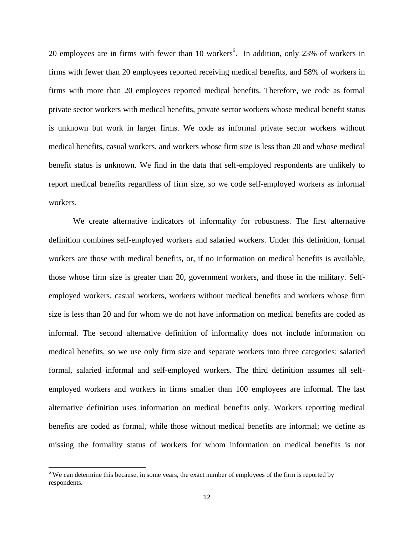20 employees are in firms with fewer than 10 workers<sup>6</sup>. In addition, only 23% of workers in firms with fewer than 20 employees reported receiving medical benefits, and 58% of workers in firms with more than 20 employees reported medical benefits. Therefore, we code as formal private sector workers with medical benefits, private sector workers whose medical benefit status is unknown but work in larger firms. We code as informal private sector workers without medical benefits, casual workers, and workers whose firm size is less than 20 and whose medical benefit status is unknown. We find in the data that self-employed respondents are unlikely to report medical benefits regardless of firm size, so we code self-employed workers as informal workers.

We create alternative indicators of informality for robustness. The first alternative definition combines self-employed workers and salaried workers. Under this definition, formal workers are those with medical benefits, or, if no information on medical benefits is available, those whose firm size is greater than 20, government workers, and those in the military. Selfemployed workers, casual workers, workers without medical benefits and workers whose firm size is less than 20 and for whom we do not have information on medical benefits are coded as informal. The second alternative definition of informality does not include information on medical benefits, so we use only firm size and separate workers into three categories: salaried formal, salaried informal and self-employed workers. The third definition assumes all selfemployed workers and workers in firms smaller than 100 employees are informal. The last alternative definition uses information on medical benefits only. Workers reporting medical benefits are coded as formal, while those without medical benefits are informal; we define as missing the formality status of workers for whom information on medical benefits is not

 $6$  We can determine this because, in some years, the exact number of employees of the firm is reported by respondents.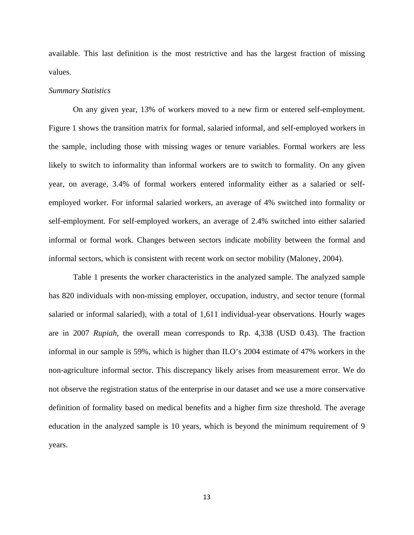available. This last definition is the most restrictive and has the largest fraction of missing values.

#### *Summary Statistics*

On any given year, 13% of workers moved to a new firm or entered self-employment. Figure 1 shows the transition matrix for formal, salaried informal, and self-employed workers in the sample, including those with missing wages or tenure variables. Formal workers are less likely to switch to informality than informal workers are to switch to formality. On any given year, on average, 3.4% of formal workers entered informality either as a salaried or selfemployed worker. For informal salaried workers, an average of 4% switched into formality or self-employment. For self-employed workers, an average of 2.4% switched into either salaried informal or formal work. Changes between sectors indicate mobility between the formal and informal sectors, which is consistent with recent work on sector mobility (Maloney, 2004).

Table 1 presents the worker characteristics in the analyzed sample. The analyzed sample has 820 individuals with non-missing employer, occupation, industry, and sector tenure (formal salaried or informal salaried), with a total of 1,611 individual-year observations. Hourly wages are in 2007 *Rupiah*, the overall mean corresponds to Rp. 4,338 (USD 0.43). The fraction informal in our sample is 59%, which is higher than ILO's 2004 estimate of 47% workers in the non-agriculture informal sector. This discrepancy likely arises from measurement error. We do not observe the registration status of the enterprise in our dataset and we use a more conservative definition of formality based on medical benefits and a higher firm size threshold. The average education in the analyzed sample is 10 years, which is beyond the minimum requirement of 9 years.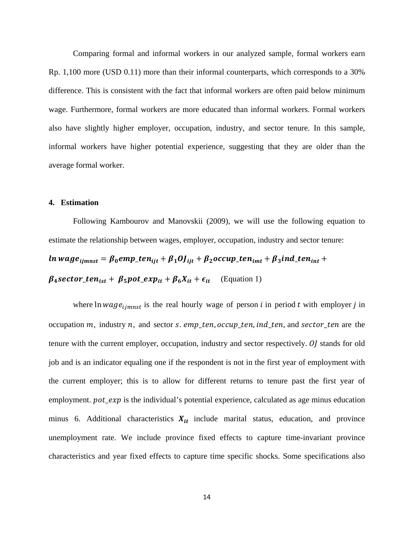Comparing formal and informal workers in our analyzed sample, formal workers earn Rp. 1,100 more (USD 0.11) more than their informal counterparts, which corresponds to a 30% difference. This is consistent with the fact that informal workers are often paid below minimum wage. Furthermore, formal workers are more educated than informal workers. Formal workers also have slightly higher employer, occupation, industry, and sector tenure. In this sample, informal workers have higher potential experience, suggesting that they are older than the average formal worker.

#### **4. Estimation**

Following Kambourov and Manovskii (2009), we will use the following equation to estimate the relationship between wages, employer, occupation, industry and sector tenure:

# ln wage $_{ijmnst} = \beta_0 emp\_ten_{ijt} + \beta_1 Oj_{ijt} + \beta_2 occup\_ten_{imt} + \beta_3 ind\_ten_{int} +$  $\beta_4 sector_{\text{1}} + \beta_5 pot_{\text{2}} exp_{it} + \beta_6 X_{it} + \epsilon_{it}$  (Equation 1)

where ln  $wage_{ijmnst}$  is the real hourly wage of person  $i$  in period  $t$  with employer  $j$  in occupation  $m$ , industry  $n$ , and sector  $s$ .  $emp_{ten}$ , occup<sub>\_ten</sub>, ind<sub>\_ten</sub>, and sector\_ten are the tenure with the current employer, occupation, industry and sector respectively.  $O<sub>I</sub>$  stands for old job and is an indicator equaling one if the respondent is not in the first year of employment with the current employer; this is to allow for different returns to tenure past the first year of employment.  $pot\_exp$  is the individual's potential experience, calculated as age minus education minus 6. Additional characteristics  $X_{it}$  include marital status, education, and province unemployment rate. We include province fixed effects to capture time-invariant province characteristics and year fixed effects to capture time specific shocks. Some specifications also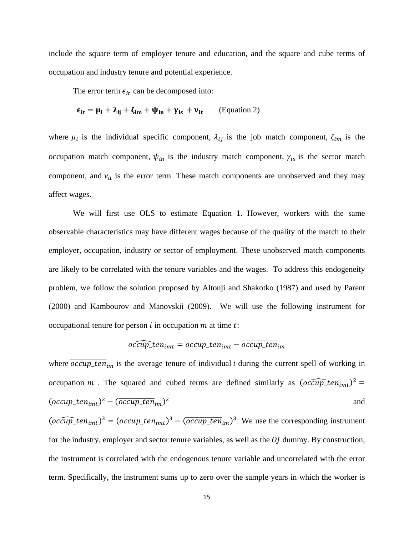include the square term of employer tenure and education, and the square and cube terms of occupation and industry tenure and potential experience.

The error term  $\epsilon_{it}$  can be decomposed into:

$$
\epsilon_{it} = \mu_i + \lambda_{ij} + \zeta_{im} + \psi_{in} + \gamma_{is} + \nu_{it}
$$
 (Equation 2)

where  $\mu_i$  is the individual specific component,  $\lambda_{ij}$  is the job match component,  $\zeta_{im}$  is the occupation match component,  $\psi_{in}$  is the industry match component,  $\gamma_{is}$  is the sector match component, and  $v_{it}$  is the error term. These match components are unobserved and they may affect wages.

We will first use OLS to estimate Equation 1. However, workers with the same observable characteristics may have different wages because of the quality of the match to their employer, occupation, industry or sector of employment. These unobserved match components are likely to be correlated with the tenure variables and the wages. To address this endogeneity problem, we follow the solution proposed by Altonji and Shakotko (1987) and used by Parent (2000) and Kambourov and Manovskii (2009). We will use the following instrument for occupational tenure for person  $i$  in occupation  $m$  at time  $t$ :

$$
\widehat{occup\_ten_{imt}} = \widehat{occup\_ten_{imt}} - \overline{\widehat{occup\_ten}_{imt}}
$$

where  $\overline{occup\_ten}_{im}$  is the average tenure of individual *i* during the current spell of working in occupation  $m$ . The squared and cubed terms are defined similarly as  $(occup\_ten_{imt})^2$  =  $(occup_ten_{imt})^2 - (\overline{occup_ten}_{im})^2$  and

 $(\widehat{occup\_ten_{imt}})^3 = (\text{occup\_ten}_{imt})^3 - (\overline{occup\_ten}_{im})^3$ . We use the corresponding instrument for the industry, employer and sector tenure variables, as well as the  $O<sub>J</sub>$  dummy. By construction, the instrument is correlated with the endogenous tenure variable and uncorrelated with the error term. Specifically, the instrument sums up to zero over the sample years in which the worker is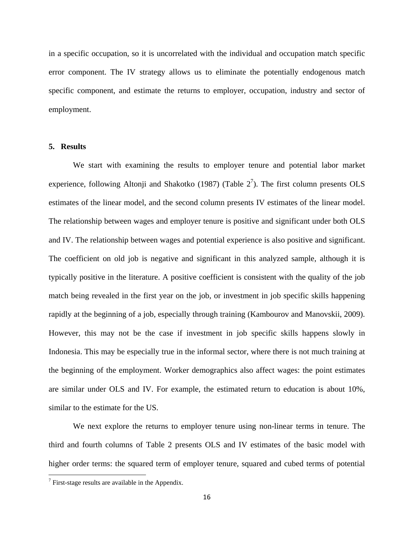in a specific occupation, so it is uncorrelated with the individual and occupation match specific error component. The IV strategy allows us to eliminate the potentially endogenous match specific component, and estimate the returns to employer, occupation, industry and sector of employment.

#### **5. Results**

We start with examining the results to employer tenure and potential labor market experience, following Altonji and Shakotko (1987) (Table  $2^7$ ). The first column presents OLS estimates of the linear model, and the second column presents IV estimates of the linear model. The relationship between wages and employer tenure is positive and significant under both OLS and IV. The relationship between wages and potential experience is also positive and significant. The coefficient on old job is negative and significant in this analyzed sample, although it is typically positive in the literature. A positive coefficient is consistent with the quality of the job match being revealed in the first year on the job, or investment in job specific skills happening rapidly at the beginning of a job, especially through training (Kambourov and Manovskii, 2009). However, this may not be the case if investment in job specific skills happens slowly in Indonesia. This may be especially true in the informal sector, where there is not much training at the beginning of the employment. Worker demographics also affect wages: the point estimates are similar under OLS and IV. For example, the estimated return to education is about 10%, similar to the estimate for the US.

We next explore the returns to employer tenure using non-linear terms in tenure. The third and fourth columns of Table 2 presents OLS and IV estimates of the basic model with higher order terms: the squared term of employer tenure, squared and cubed terms of potential

 $7$  First-stage results are available in the Appendix.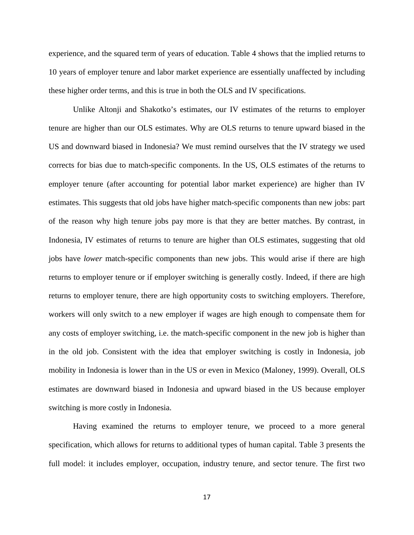experience, and the squared term of years of education. Table 4 shows that the implied returns to 10 years of employer tenure and labor market experience are essentially unaffected by including these higher order terms, and this is true in both the OLS and IV specifications.

Unlike Altonji and Shakotko's estimates, our IV estimates of the returns to employer tenure are higher than our OLS estimates. Why are OLS returns to tenure upward biased in the US and downward biased in Indonesia? We must remind ourselves that the IV strategy we used corrects for bias due to match-specific components. In the US, OLS estimates of the returns to employer tenure (after accounting for potential labor market experience) are higher than IV estimates. This suggests that old jobs have higher match-specific components than new jobs: part of the reason why high tenure jobs pay more is that they are better matches. By contrast, in Indonesia, IV estimates of returns to tenure are higher than OLS estimates, suggesting that old jobs have *lower* match-specific components than new jobs. This would arise if there are high returns to employer tenure or if employer switching is generally costly. Indeed, if there are high returns to employer tenure, there are high opportunity costs to switching employers. Therefore, workers will only switch to a new employer if wages are high enough to compensate them for any costs of employer switching, i.e. the match-specific component in the new job is higher than in the old job. Consistent with the idea that employer switching is costly in Indonesia, job mobility in Indonesia is lower than in the US or even in Mexico (Maloney, 1999). Overall, OLS estimates are downward biased in Indonesia and upward biased in the US because employer switching is more costly in Indonesia.

Having examined the returns to employer tenure, we proceed to a more general specification, which allows for returns to additional types of human capital. Table 3 presents the full model: it includes employer, occupation, industry tenure, and sector tenure. The first two

17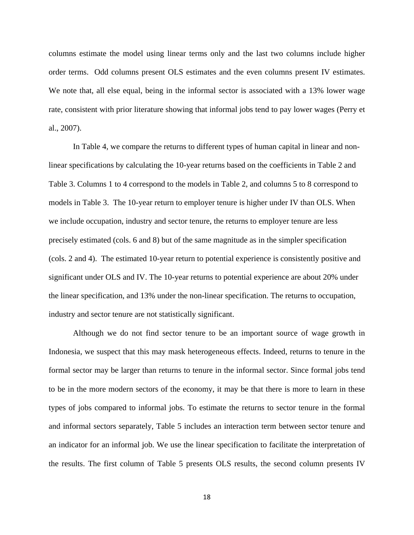columns estimate the model using linear terms only and the last two columns include higher order terms. Odd columns present OLS estimates and the even columns present IV estimates. We note that, all else equal, being in the informal sector is associated with a 13% lower wage rate, consistent with prior literature showing that informal jobs tend to pay lower wages (Perry et al., 2007).

In Table 4, we compare the returns to different types of human capital in linear and nonlinear specifications by calculating the 10-year returns based on the coefficients in Table 2 and Table 3. Columns 1 to 4 correspond to the models in Table 2, and columns 5 to 8 correspond to models in Table 3. The 10-year return to employer tenure is higher under IV than OLS. When we include occupation, industry and sector tenure, the returns to employer tenure are less precisely estimated (cols. 6 and 8) but of the same magnitude as in the simpler specification (cols. 2 and 4). The estimated 10-year return to potential experience is consistently positive and significant under OLS and IV. The 10-year returns to potential experience are about 20% under the linear specification, and 13% under the non-linear specification. The returns to occupation, industry and sector tenure are not statistically significant.

Although we do not find sector tenure to be an important source of wage growth in Indonesia, we suspect that this may mask heterogeneous effects. Indeed, returns to tenure in the formal sector may be larger than returns to tenure in the informal sector. Since formal jobs tend to be in the more modern sectors of the economy, it may be that there is more to learn in these types of jobs compared to informal jobs. To estimate the returns to sector tenure in the formal and informal sectors separately, Table 5 includes an interaction term between sector tenure and an indicator for an informal job. We use the linear specification to facilitate the interpretation of the results. The first column of Table 5 presents OLS results, the second column presents IV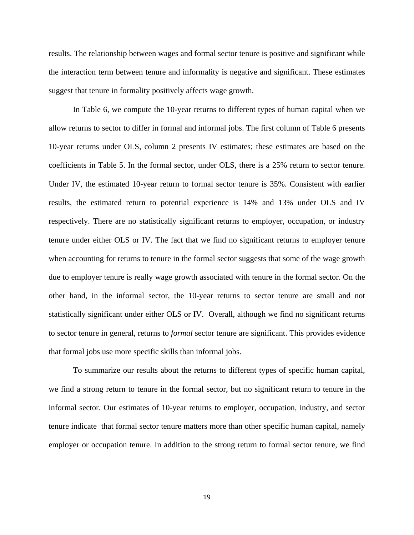results. The relationship between wages and formal sector tenure is positive and significant while the interaction term between tenure and informality is negative and significant. These estimates suggest that tenure in formality positively affects wage growth.

In Table 6, we compute the 10-year returns to different types of human capital when we allow returns to sector to differ in formal and informal jobs. The first column of Table 6 presents 10-year returns under OLS, column 2 presents IV estimates; these estimates are based on the coefficients in Table 5. In the formal sector, under OLS, there is a 25% return to sector tenure. Under IV, the estimated 10-year return to formal sector tenure is 35%. Consistent with earlier results, the estimated return to potential experience is 14% and 13% under OLS and IV respectively. There are no statistically significant returns to employer, occupation, or industry tenure under either OLS or IV. The fact that we find no significant returns to employer tenure when accounting for returns to tenure in the formal sector suggests that some of the wage growth due to employer tenure is really wage growth associated with tenure in the formal sector. On the other hand, in the informal sector, the 10-year returns to sector tenure are small and not statistically significant under either OLS or IV. Overall, although we find no significant returns to sector tenure in general, returns to *formal* sector tenure are significant. This provides evidence that formal jobs use more specific skills than informal jobs.

To summarize our results about the returns to different types of specific human capital, we find a strong return to tenure in the formal sector, but no significant return to tenure in the informal sector. Our estimates of 10-year returns to employer, occupation, industry, and sector tenure indicate that formal sector tenure matters more than other specific human capital, namely employer or occupation tenure. In addition to the strong return to formal sector tenure, we find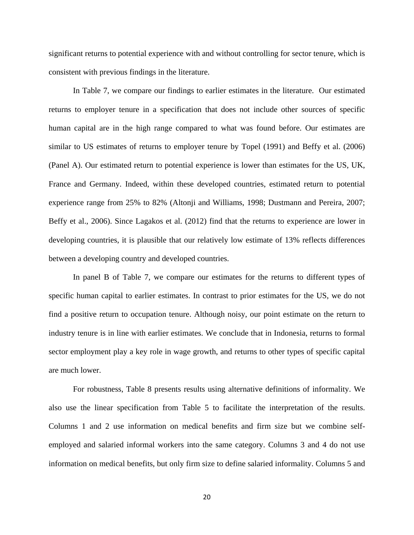significant returns to potential experience with and without controlling for sector tenure, which is consistent with previous findings in the literature.

In Table 7, we compare our findings to earlier estimates in the literature. Our estimated returns to employer tenure in a specification that does not include other sources of specific human capital are in the high range compared to what was found before. Our estimates are similar to US estimates of returns to employer tenure by Topel (1991) and Beffy et al. (2006) (Panel A). Our estimated return to potential experience is lower than estimates for the US, UK, France and Germany. Indeed, within these developed countries, estimated return to potential experience range from 25% to 82% (Altonji and Williams, 1998; Dustmann and Pereira, 2007; Beffy et al., 2006). Since Lagakos et al. (2012) find that the returns to experience are lower in developing countries, it is plausible that our relatively low estimate of 13% reflects differences between a developing country and developed countries.

In panel B of Table 7, we compare our estimates for the returns to different types of specific human capital to earlier estimates. In contrast to prior estimates for the US, we do not find a positive return to occupation tenure. Although noisy, our point estimate on the return to industry tenure is in line with earlier estimates. We conclude that in Indonesia, returns to formal sector employment play a key role in wage growth, and returns to other types of specific capital are much lower.

For robustness, Table 8 presents results using alternative definitions of informality. We also use the linear specification from Table 5 to facilitate the interpretation of the results. Columns 1 and 2 use information on medical benefits and firm size but we combine selfemployed and salaried informal workers into the same category. Columns 3 and 4 do not use information on medical benefits, but only firm size to define salaried informality. Columns 5 and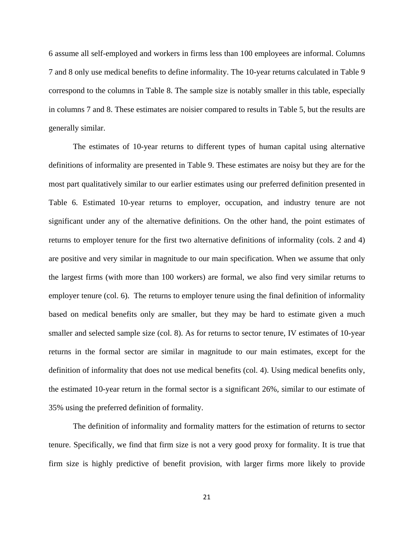6 assume all self-employed and workers in firms less than 100 employees are informal. Columns 7 and 8 only use medical benefits to define informality. The 10-year returns calculated in Table 9 correspond to the columns in Table 8. The sample size is notably smaller in this table, especially in columns 7 and 8. These estimates are noisier compared to results in Table 5, but the results are generally similar.

The estimates of 10-year returns to different types of human capital using alternative definitions of informality are presented in Table 9. These estimates are noisy but they are for the most part qualitatively similar to our earlier estimates using our preferred definition presented in Table 6. Estimated 10-year returns to employer, occupation, and industry tenure are not significant under any of the alternative definitions. On the other hand, the point estimates of returns to employer tenure for the first two alternative definitions of informality (cols. 2 and 4) are positive and very similar in magnitude to our main specification. When we assume that only the largest firms (with more than 100 workers) are formal, we also find very similar returns to employer tenure (col. 6). The returns to employer tenure using the final definition of informality based on medical benefits only are smaller, but they may be hard to estimate given a much smaller and selected sample size (col. 8). As for returns to sector tenure, IV estimates of 10-year returns in the formal sector are similar in magnitude to our main estimates, except for the definition of informality that does not use medical benefits (col. 4). Using medical benefits only, the estimated 10-year return in the formal sector is a significant 26%, similar to our estimate of 35% using the preferred definition of formality.

The definition of informality and formality matters for the estimation of returns to sector tenure. Specifically, we find that firm size is not a very good proxy for formality. It is true that firm size is highly predictive of benefit provision, with larger firms more likely to provide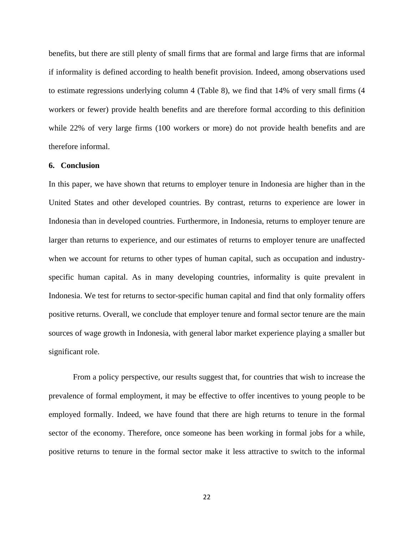benefits, but there are still plenty of small firms that are formal and large firms that are informal if informality is defined according to health benefit provision. Indeed, among observations used to estimate regressions underlying column 4 (Table 8), we find that 14% of very small firms (4 workers or fewer) provide health benefits and are therefore formal according to this definition while 22% of very large firms (100 workers or more) do not provide health benefits and are therefore informal.

#### **6. Conclusion**

In this paper, we have shown that returns to employer tenure in Indonesia are higher than in the United States and other developed countries. By contrast, returns to experience are lower in Indonesia than in developed countries. Furthermore, in Indonesia, returns to employer tenure are larger than returns to experience, and our estimates of returns to employer tenure are unaffected when we account for returns to other types of human capital, such as occupation and industryspecific human capital. As in many developing countries, informality is quite prevalent in Indonesia. We test for returns to sector-specific human capital and find that only formality offers positive returns. Overall, we conclude that employer tenure and formal sector tenure are the main sources of wage growth in Indonesia, with general labor market experience playing a smaller but significant role.

From a policy perspective, our results suggest that, for countries that wish to increase the prevalence of formal employment, it may be effective to offer incentives to young people to be employed formally. Indeed, we have found that there are high returns to tenure in the formal sector of the economy. Therefore, once someone has been working in formal jobs for a while, positive returns to tenure in the formal sector make it less attractive to switch to the informal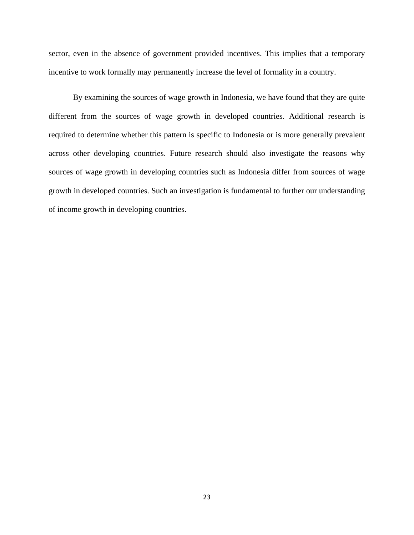sector, even in the absence of government provided incentives. This implies that a temporary incentive to work formally may permanently increase the level of formality in a country.

By examining the sources of wage growth in Indonesia, we have found that they are quite different from the sources of wage growth in developed countries. Additional research is required to determine whether this pattern is specific to Indonesia or is more generally prevalent across other developing countries. Future research should also investigate the reasons why sources of wage growth in developing countries such as Indonesia differ from sources of wage growth in developed countries. Such an investigation is fundamental to further our understanding of income growth in developing countries.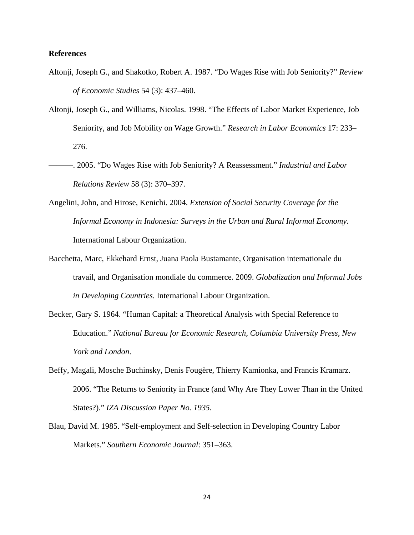#### **References**

- Altonji, Joseph G., and Shakotko, Robert A. 1987. "Do Wages Rise with Job Seniority?" *Review of Economic Studies* 54 (3): 437–460.
- Altonji, Joseph G., and Williams, Nicolas. 1998. "The Effects of Labor Market Experience, Job Seniority, and Job Mobility on Wage Growth." *Research in Labor Economics* 17: 233– 276.
- ———. 2005. "Do Wages Rise with Job Seniority? A Reassessment." *Industrial and Labor Relations Review* 58 (3): 370–397.
- Angelini, John, and Hirose, Kenichi. 2004. *Extension of Social Security Coverage for the Informal Economy in Indonesia: Surveys in the Urban and Rural Informal Economy*. International Labour Organization.
- Bacchetta, Marc, Ekkehard Ernst, Juana Paola Bustamante, Organisation internationale du travail, and Organisation mondiale du commerce. 2009. *Globalization and Informal Jobs in Developing Countries*. International Labour Organization.
- Becker, Gary S. 1964. "Human Capital: a Theoretical Analysis with Special Reference to Education." *National Bureau for Economic Research, Columbia University Press, New York and London*.
- Beffy, Magali, Mosche Buchinsky, Denis Fougère, Thierry Kamionka, and Francis Kramarz. 2006. "The Returns to Seniority in France (and Why Are They Lower Than in the United States?)." *IZA Discussion Paper No. 1935*.
- Blau, David M. 1985. "Self-employment and Self-selection in Developing Country Labor Markets." *Southern Economic Journal*: 351–363.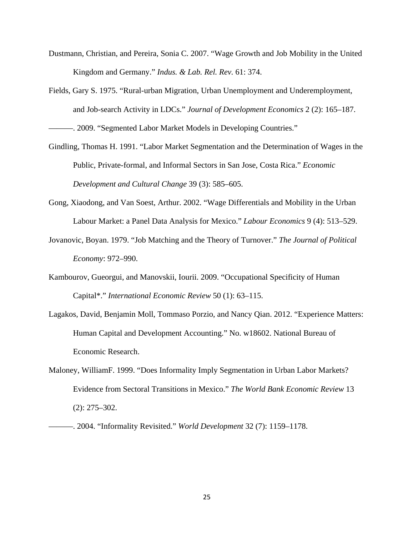- Dustmann, Christian, and Pereira, Sonia C. 2007. "Wage Growth and Job Mobility in the United Kingdom and Germany." *Indus. & Lab. Rel. Rev.* 61: 374.
- Fields, Gary S. 1975. "Rural-urban Migration, Urban Unemployment and Underemployment, and Job-search Activity in LDCs." *Journal of Development Economics* 2 (2): 165–187.

———. 2009. "Segmented Labor Market Models in Developing Countries."

- Gindling, Thomas H. 1991. "Labor Market Segmentation and the Determination of Wages in the Public, Private-formal, and Informal Sectors in San Jose, Costa Rica." *Economic Development and Cultural Change* 39 (3): 585–605.
- Gong, Xiaodong, and Van Soest, Arthur. 2002. "Wage Differentials and Mobility in the Urban Labour Market: a Panel Data Analysis for Mexico." *Labour Economics* 9 (4): 513–529.
- Jovanovic, Boyan. 1979. "Job Matching and the Theory of Turnover." *The Journal of Political Economy*: 972–990.
- Kambourov, Gueorgui, and Manovskii, Iourii. 2009. "Occupational Specificity of Human Capital\*." *International Economic Review* 50 (1): 63–115.
- Lagakos, David, Benjamin Moll, Tommaso Porzio, and Nancy Qian. 2012. "Experience Matters: Human Capital and Development Accounting." No. w18602. National Bureau of Economic Research.
- Maloney, WilliamF. 1999. "Does Informality Imply Segmentation in Urban Labor Markets? Evidence from Sectoral Transitions in Mexico." *The World Bank Economic Review* 13 (2): 275–302.

<sup>———. 2004. &</sup>quot;Informality Revisited." *World Development* 32 (7): 1159–1178.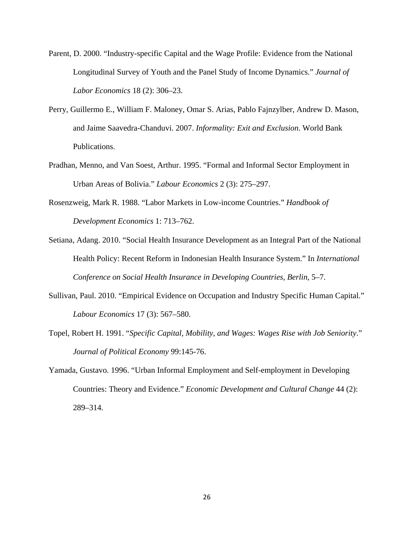- Parent, D. 2000. "Industry-specific Capital and the Wage Profile: Evidence from the National Longitudinal Survey of Youth and the Panel Study of Income Dynamics." *Journal of Labor Economics* 18 (2): 306–23.
- Perry, Guillermo E., William F. Maloney, Omar S. Arias, Pablo Fajnzylber, Andrew D. Mason, and Jaime Saavedra-Chanduvi. 2007. *Informality: Exit and Exclusion*. World Bank Publications.
- Pradhan, Menno, and Van Soest, Arthur. 1995. "Formal and Informal Sector Employment in Urban Areas of Bolivia." *Labour Economics* 2 (3): 275–297.
- Rosenzweig, Mark R. 1988. "Labor Markets in Low-income Countries." *Handbook of Development Economics* 1: 713–762.
- Setiana, Adang. 2010. "Social Health Insurance Development as an Integral Part of the National Health Policy: Recent Reform in Indonesian Health Insurance System." In *International Conference on Social Health Insurance in Developing Countries, Berlin*, 5–7.
- Sullivan, Paul. 2010. "Empirical Evidence on Occupation and Industry Specific Human Capital." *Labour Economics* 17 (3): 567–580.
- Topel, Robert H. 1991. "*Specific Capital, Mobility, and Wages: Wages Rise with Job Seniority*." *Journal of Political Economy* 99:145-76.
- Yamada, Gustavo. 1996. "Urban Informal Employment and Self-employment in Developing Countries: Theory and Evidence." *Economic Development and Cultural Change* 44 (2): 289–314.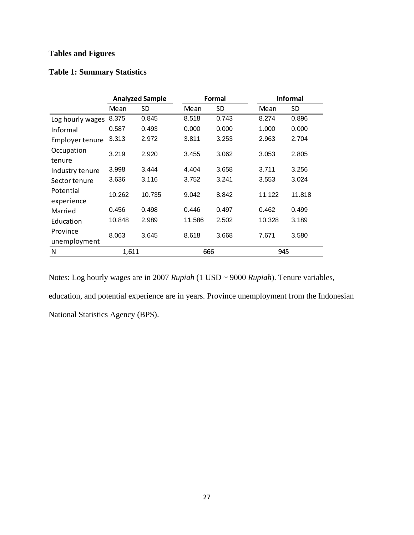## **Tables and Figures**

## **Table 1: Summary Statistics**

|                          | <b>Analyzed Sample</b> |        |        | Formal    | <b>Informal</b> |           |
|--------------------------|------------------------|--------|--------|-----------|-----------------|-----------|
|                          | Mean                   | SD     | Mean   | <b>SD</b> | Mean            | <b>SD</b> |
| Log hourly wages         | 8.375                  | 0.845  | 8.518  | 0.743     | 8.274           | 0.896     |
| Informal                 | 0.587                  | 0.493  | 0.000  | 0.000     | 1.000           | 0.000     |
| <b>Employer tenure</b>   | 3.313                  | 2.972  | 3.811  | 3.253     | 2.963           | 2.704     |
| Occupation<br>tenure     | 3.219                  | 2.920  | 3.455  | 3.062     | 3.053           | 2.805     |
| Industry tenure          | 3.998                  | 3.444  | 4.404  | 3.658     | 3.711           | 3.256     |
| Sector tenure            | 3.636                  | 3.116  | 3.752  | 3.241     | 3.553           | 3.024     |
| Potential<br>experience  | 10.262                 | 10.735 | 9.042  | 8.842     | 11.122          | 11.818    |
| Married                  | 0.456                  | 0.498  | 0.446  | 0.497     | 0.462           | 0.499     |
| Education                | 10.848                 | 2.989  | 11.586 | 2.502     | 10.328          | 3.189     |
| Province<br>unemployment | 8.063                  | 3.645  | 8.618  | 3.668     | 7.671           | 3.580     |
| N                        | 1,611                  |        | 666    |           | 945             |           |

Notes: Log hourly wages are in 2007 *Rupiah* (1 USD ~ 9000 *Rupiah*). Tenure variables, education, and potential experience are in years. Province unemployment from the Indonesian National Statistics Agency (BPS).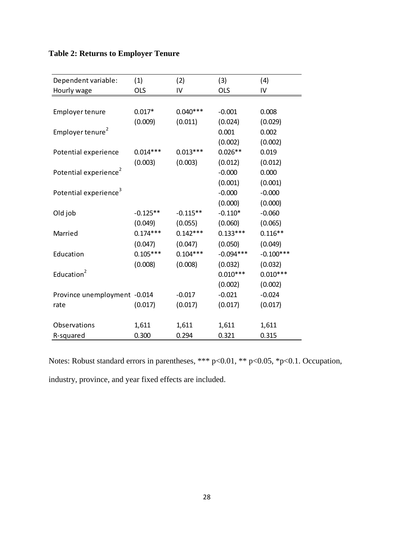# **Table 2: Returns to Employer Tenure**

| Dependent variable:               | (1)        | (2)        | (3)         | (4)         |
|-----------------------------------|------------|------------|-------------|-------------|
| Hourly wage                       | <b>OLS</b> | IV         | <b>OLS</b>  | IV          |
|                                   |            |            |             |             |
| Employer tenure                   | $0.017*$   | $0.040***$ | $-0.001$    | 0.008       |
|                                   | (0.009)    | (0.011)    | (0.024)     | (0.029)     |
| Employer tenure <sup>2</sup>      |            |            | 0.001       | 0.002       |
|                                   |            |            | (0.002)     | (0.002)     |
| Potential experience              | $0.014***$ | $0.013***$ | $0.026**$   | 0.019       |
|                                   | (0.003)    | (0.003)    | (0.012)     | (0.012)     |
| Potential experience <sup>2</sup> |            |            | $-0.000$    | 0.000       |
|                                   |            |            | (0.001)     | (0.001)     |
| Potential experience <sup>3</sup> |            |            | $-0.000$    | $-0.000$    |
|                                   |            |            | (0.000)     | (0.000)     |
| Old job                           | $-0.125**$ | $-0.115**$ | $-0.110*$   | $-0.060$    |
|                                   | (0.049)    | (0.055)    | (0.060)     | (0.065)     |
| Married                           | $0.174***$ | $0.142***$ | $0.133***$  | $0.116**$   |
|                                   | (0.047)    | (0.047)    | (0.050)     | (0.049)     |
| Education                         | $0.105***$ | $0.104***$ | $-0.094***$ | $-0.100***$ |
|                                   | (0.008)    | (0.008)    | (0.032)     | (0.032)     |
| Education <sup>2</sup>            |            |            | $0.010***$  | $0.010***$  |
|                                   |            |            | (0.002)     | (0.002)     |
| Province unemployment -0.014      |            | $-0.017$   | $-0.021$    | $-0.024$    |
| rate                              | (0.017)    | (0.017)    | (0.017)     | (0.017)     |
|                                   |            |            |             |             |
| Observations                      | 1,611      | 1,611      | 1,611       | 1,611       |
| R-squared                         | 0.300      | 0.294      | 0.321       | 0.315       |

Notes: Robust standard errors in parentheses, \*\*\* p<0.01, \*\* p<0.05, \*p<0.1. Occupation, industry, province, and year fixed effects are included.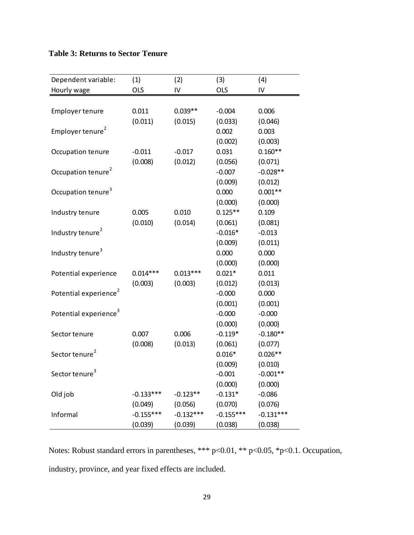## **Table 3: Returns to Sector Tenure**

| Dependent variable:               | (1)         | (2)         | (3)         | (4)         |
|-----------------------------------|-------------|-------------|-------------|-------------|
| Hourly wage                       | <b>OLS</b>  | IV          | <b>OLS</b>  | IV          |
|                                   |             |             |             |             |
| <b>Employer tenure</b>            | 0.011       | $0.039**$   | $-0.004$    | 0.006       |
|                                   | (0.011)     | (0.015)     | (0.033)     | (0.046)     |
| Employer tenure <sup>2</sup>      |             |             | 0.002       | 0.003       |
|                                   |             |             | (0.002)     | (0.003)     |
| Occupation tenure                 | $-0.011$    | $-0.017$    | 0.031       | $0.160**$   |
|                                   | (0.008)     | (0.012)     | (0.056)     | (0.071)     |
| Occupation tenure <sup>2</sup>    |             |             | $-0.007$    | $-0.028**$  |
|                                   |             |             | (0.009)     | (0.012)     |
| Occupation tenure <sup>3</sup>    |             |             | 0.000       | $0.001**$   |
|                                   |             |             | (0.000)     | (0.000)     |
| Industry tenure                   | 0.005       | 0.010       | $0.125**$   | 0.109       |
|                                   | (0.010)     | (0.014)     | (0.061)     | (0.081)     |
| Industry tenure <sup>2</sup>      |             |             | $-0.016*$   | $-0.013$    |
|                                   |             |             | (0.009)     | (0.011)     |
| Industry tenure <sup>3</sup>      |             |             | 0.000       | 0.000       |
|                                   |             |             | (0.000)     | (0.000)     |
| Potential experience              | $0.014***$  | $0.013***$  | $0.021*$    | 0.011       |
|                                   | (0.003)     | (0.003)     | (0.012)     | (0.013)     |
| Potential experience <sup>2</sup> |             |             | $-0.000$    | 0.000       |
|                                   |             |             | (0.001)     | (0.001)     |
| Potential experience <sup>3</sup> |             |             | $-0.000$    | $-0.000$    |
|                                   |             |             | (0.000)     | (0.000)     |
| Sector tenure                     | 0.007       | 0.006       | $-0.119*$   | $-0.180**$  |
|                                   | (0.008)     | (0.013)     | (0.061)     | (0.077)     |
| Sector tenure <sup>2</sup>        |             |             | $0.016*$    | $0.026**$   |
|                                   |             |             | (0.009)     | (0.010)     |
| Sector tenure <sup>3</sup>        |             |             | $-0.001$    | $-0.001**$  |
|                                   |             |             | (0.000)     | (0.000)     |
| Old job                           | $-0.133***$ | $-0.123**$  | $-0.131*$   | $-0.086$    |
|                                   | (0.049)     | (0.056)     | (0.070)     | (0.076)     |
| Informal                          | $-0.155***$ | $-0.132***$ | $-0.155***$ | $-0.131***$ |
|                                   | (0.039)     | (0.039)     | (0.038)     | (0.038)     |

Notes: Robust standard errors in parentheses, \*\*\* p<0.01, \*\* p<0.05, \*p<0.1. Occupation, industry, province, and year fixed effects are included.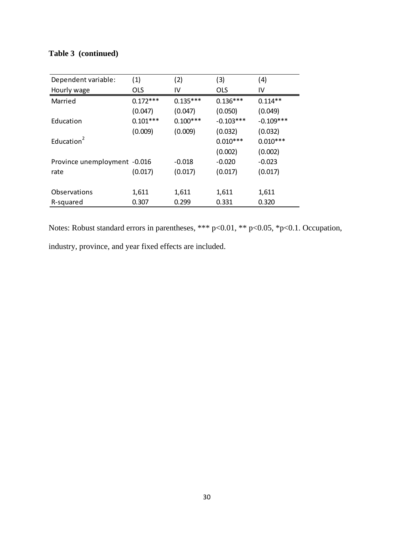| Dependent variable:          | (1)        | (2)        | (3)         | (4)         |
|------------------------------|------------|------------|-------------|-------------|
| Hourly wage                  | <b>OLS</b> | IV         | <b>OLS</b>  | IV          |
| Married                      | $0.172***$ | $0.135***$ | $0.136***$  | $0.114**$   |
|                              | (0.047)    | (0.047)    | (0.050)     | (0.049)     |
| Education                    | $0.101***$ | $0.100***$ | $-0.103***$ | $-0.109***$ |
|                              | (0.009)    | (0.009)    | (0.032)     | (0.032)     |
| Education <sup>2</sup>       |            |            | $0.010***$  | $0.010***$  |
|                              |            |            | (0.002)     | (0.002)     |
| Province unemployment -0.016 |            | $-0.018$   | $-0.020$    | $-0.023$    |
| rate                         | (0.017)    | (0.017)    | (0.017)     | (0.017)     |
|                              |            |            |             |             |
| Observations                 | 1,611      | 1,611      | 1,611       | 1,611       |
| R-squared                    | 0.307      | 0.299      | 0.331       | 0.320       |

# **Table 3 (continued)**

Notes: Robust standard errors in parentheses, \*\*\* p<0.01, \*\* p<0.05, \*p<0.1. Occupation, industry, province, and year fixed effects are included.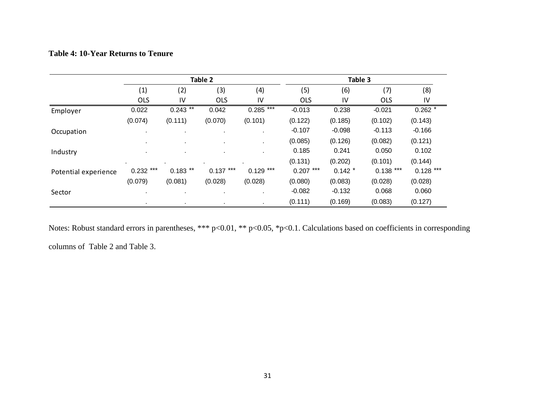#### **Table 4: 10-Year Returns to Tenure**

|                      |             |            | Table 2      |             |             | Table 3  |            |             |  |
|----------------------|-------------|------------|--------------|-------------|-------------|----------|------------|-------------|--|
|                      | (1)         | (2)        | (3)          | (4)         | (5)         | (6)      | (7)        | (8)         |  |
|                      | <b>OLS</b>  | IV         | <b>OLS</b>   | IV          | <b>OLS</b>  | IV       | <b>OLS</b> | IV          |  |
| Employer             | 0.022       | $0.243$ ** | 0.042        | $0.285***$  | $-0.013$    | 0.238    | $-0.021$   | $0.262$ *   |  |
|                      | (0.074)     | (0.111)    | (0.070)      | (0.101)     | (0.122)     | (0.185)  | (0.102)    | (0.143)     |  |
| Occupation           | ٠           |            |              | ٠           | $-0.107$    | $-0.098$ | $-0.113$   | $-0.166$    |  |
|                      | ٠           | ٠          |              | ٠           | (0.085)     | (0.126)  | (0.082)    | (0.121)     |  |
| Industry             | ٠           | ٠          |              | ٠           | 0.185       | 0.241    | 0.050      | 0.102       |  |
|                      | $\cdot$     | ٠.         | ٠            | <b>A</b> 1  | (0.131)     | (0.202)  | (0.101)    | (0.144)     |  |
| Potential experience | $0.232$ *** | $0.183$ ** | ***<br>0.137 | $0.129$ *** | $0.207$ *** | $0.142*$ | $0.138***$ | $0.128$ *** |  |
|                      | (0.079)     | (0.081)    | (0.028)      | (0.028)     | (0.080)     | (0.083)  | (0.028)    | (0.028)     |  |
| Sector               | ٠           |            |              | ٠           | $-0.082$    | $-0.132$ | 0.068      | 0.060       |  |
|                      | ٠           | ٠.         |              | $\bullet$   | (0.111)     | (0.169)  | (0.083)    | (0.127)     |  |

Notes: Robust standard errors in parentheses, \*\*\* p<0.01, \*\* p<0.05, \*p<0.1. Calculations based on coefficients in corresponding

columns of Table 2 and Table 3.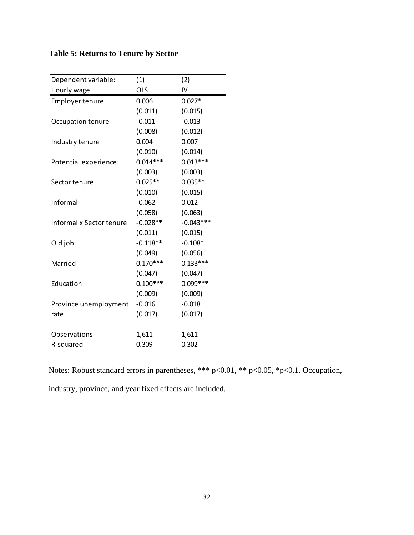| Dependent variable:      | (1)        | (2)         |
|--------------------------|------------|-------------|
| Hourly wage              | <b>OLS</b> | IV          |
| <b>Employer tenure</b>   | 0.006      | $0.027*$    |
|                          | (0.011)    | (0.015)     |
| Occupation tenure        | $-0.011$   | $-0.013$    |
|                          | (0.008)    | (0.012)     |
| Industry tenure          | 0.004      | 0.007       |
|                          | (0.010)    | (0.014)     |
| Potential experience     | $0.014***$ | $0.013***$  |
|                          | (0.003)    | (0.003)     |
| Sector tenure            | $0.025**$  | $0.035**$   |
|                          | (0.010)    | (0.015)     |
| Informal                 | $-0.062$   | 0.012       |
|                          | (0.058)    | (0.063)     |
| Informal x Sector tenure | $-0.028**$ | $-0.043***$ |
|                          | (0.011)    | (0.015)     |
| Old job                  | $-0.118**$ | $-0.108*$   |
|                          | (0.049)    | (0.056)     |
| Married                  | $0.170***$ | $0.133***$  |
|                          | (0.047)    | (0.047)     |
| Education                | $0.100***$ | $0.099***$  |
|                          | (0.009)    | (0.009)     |
| Province unemployment    | $-0.016$   | $-0.018$    |
| rate                     | (0.017)    | (0.017)     |
|                          |            |             |
| Observations             | 1,611      | 1,611       |
| R-squared                | 0.309      | 0.302       |

**Table 5: Returns to Tenure by Sector** 

Notes: Robust standard errors in parentheses, \*\*\* p<0.01, \*\* p<0.05, \*p<0.1. Occupation,

industry, province, and year fixed effects are included.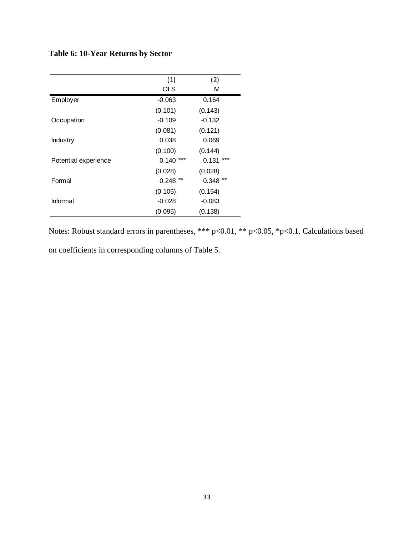# **Table 6: 10-Year Returns by Sector**

|                      | (1)            | (2)            |
|----------------------|----------------|----------------|
|                      | <b>OLS</b>     | IV             |
| Employer             | $-0.063$       | 0.164          |
|                      | (0.101)        | (0.143)        |
| Occupation           | $-0.109$       | $-0.132$       |
|                      | (0.081)        | (0.121)        |
| Industry             | 0.038          | 0.069          |
|                      | (0.100)        | (0.144)        |
| Potential experience | $***$<br>0.140 | ***<br>0.131   |
|                      | (0.028)        | (0.028)        |
| Formal               | $0.248$ **     | $***$<br>0.348 |
|                      | (0.105)        | (0.154)        |
| Informal             | $-0.028$       | $-0.083$       |
|                      | (0.095)        | (0.138)        |

Notes: Robust standard errors in parentheses, \*\*\* p<0.01, \*\* p<0.05, \*p<0.1. Calculations based on coefficients in corresponding columns of Table 5.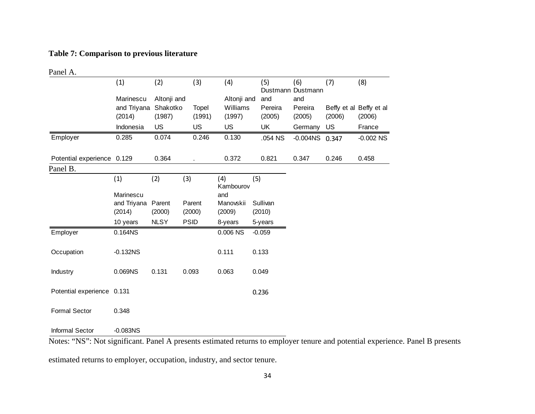## **Table 7: Comparison to previous literature**

| Panel A.                   |                                    |                                   |                  |                                   |                          |                          |        |                                   |
|----------------------------|------------------------------------|-----------------------------------|------------------|-----------------------------------|--------------------------|--------------------------|--------|-----------------------------------|
|                            | (1)                                | (2)                               | (3)              | (4)                               | (5)                      | (6)<br>Dustmann Dustmann | (7)    | (8)                               |
|                            | Marinescu<br>and Triyana<br>(2014) | Altonji and<br>Shakotko<br>(1987) | Topel<br>(1991)  | Altonji and<br>Williams<br>(1997) | and<br>Pereira<br>(2005) | and<br>Pereira<br>(2005) | (2006) | Beffy et al Beffy et al<br>(2006) |
|                            | Indonesia                          | <b>US</b>                         | US               | <b>US</b>                         | UK                       | Germany                  | US     | France                            |
| Employer                   | 0.285                              | 0.074                             | 0.246            | 0.130                             | .054 NS                  | $-0.004$ NS $0.347$      |        | $-0.002$ NS                       |
| Potential experience 0.129 |                                    | 0.364                             |                  | 0.372                             | 0.821                    | 0.347                    | 0.246  | 0.458                             |
| Panel B.                   |                                    |                                   |                  |                                   |                          |                          |        |                                   |
|                            | (1)                                | (2)                               | (3)              | (4)<br>Kambourov                  | (5)                      |                          |        |                                   |
|                            | Marinescu                          |                                   |                  | and                               |                          |                          |        |                                   |
|                            | and Triyana<br>(2014)              | Parent<br>(2000)                  | Parent<br>(2000) | Manovskii<br>(2009)               | Sullivan<br>(2010)       |                          |        |                                   |
|                            | 10 years                           | <b>NLSY</b>                       | <b>PSID</b>      | 8-years                           | 5-years                  |                          |        |                                   |
| Employer                   | 0.164NS                            |                                   |                  | 0.006 NS                          | $-0.059$                 |                          |        |                                   |
| Occupation                 | $-0.132NS$                         |                                   |                  | 0.111                             | 0.133                    |                          |        |                                   |
| Industry                   | 0.069NS                            | 0.131                             | 0.093            | 0.063                             | 0.049                    |                          |        |                                   |
| Potential experience 0.131 |                                    |                                   |                  |                                   | 0.236                    |                          |        |                                   |
| <b>Formal Sector</b>       | 0.348                              |                                   |                  |                                   |                          |                          |        |                                   |
| Informal Sector            | $-0.083NS$                         |                                   |                  |                                   |                          |                          |        |                                   |

Notes: "NS": Not significant. Panel A presents estimated returns to employer tenure and potential experience. Panel B presents estimated returns to employer, occupation, industry, and sector tenure.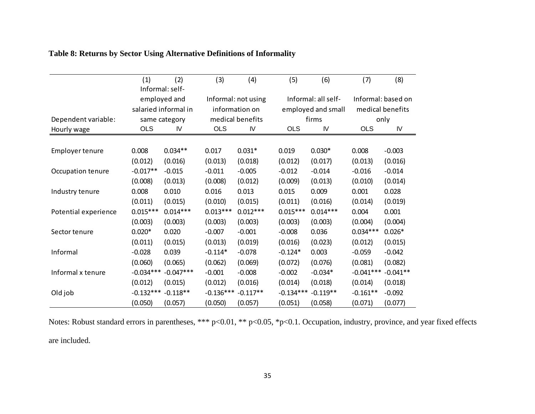|                      | (1)         | (2)                  | (3)         | (4)                 | (5)         | (6)                 | (7)         | (8)                |
|----------------------|-------------|----------------------|-------------|---------------------|-------------|---------------------|-------------|--------------------|
|                      |             | Informal: self-      |             |                     |             |                     |             |                    |
|                      |             | employed and         |             | Informal: not using |             | Informal: all self- |             | Informal: based on |
|                      |             | salaried informal in |             | information on      |             | employed and small  |             | medical benefits   |
| Dependent variable:  |             | same category        |             | medical benefits    |             | firms               |             | only               |
| Hourly wage          | <b>OLS</b>  | IV                   | <b>OLS</b>  | IV                  | <b>OLS</b>  | IV                  | <b>OLS</b>  | ${\sf IV}$         |
|                      |             |                      |             |                     |             |                     |             |                    |
| Employer tenure      | 0.008       | $0.034**$            | 0.017       | $0.031*$            | 0.019       | $0.030*$            | 0.008       | $-0.003$           |
|                      | (0.012)     | (0.016)              | (0.013)     | (0.018)             | (0.012)     | (0.017)             | (0.013)     | (0.016)            |
| Occupation tenure    | $-0.017**$  | $-0.015$             | $-0.011$    | $-0.005$            | $-0.012$    | $-0.014$            | $-0.016$    | $-0.014$           |
|                      | (0.008)     | (0.013)              | (0.008)     | (0.012)             | (0.009)     | (0.013)             | (0.010)     | (0.014)            |
| Industry tenure      | 0.008       | 0.010                | 0.016       | 0.013               | 0.015       | 0.009               | 0.001       | 0.028              |
|                      | (0.011)     | (0.015)              | (0.010)     | (0.015)             | (0.011)     | (0.016)             | (0.014)     | (0.019)            |
| Potential experience | $0.015***$  | $0.014***$           | $0.013***$  | $0.012***$          | $0.015***$  | $0.014***$          | 0.004       | 0.001              |
|                      | (0.003)     | (0.003)              | (0.003)     | (0.003)             | (0.003)     | (0.003)             | (0.004)     | (0.004)            |
| Sector tenure        | $0.020*$    | 0.020                | $-0.007$    | $-0.001$            | $-0.008$    | 0.036               | $0.034***$  | $0.026*$           |
|                      | (0.011)     | (0.015)              | (0.013)     | (0.019)             | (0.016)     | (0.023)             | (0.012)     | (0.015)            |
| Informal             | $-0.028$    | 0.039                | $-0.114*$   | $-0.078$            | $-0.124*$   | 0.003               | $-0.059$    | $-0.042$           |
|                      | (0.060)     | (0.065)              | (0.062)     | (0.069)             | (0.072)     | (0.076)             | (0.081)     | (0.082)            |
| Informal x tenure    | $-0.034***$ | $-0.047***$          | $-0.001$    | $-0.008$            | $-0.002$    | $-0.034*$           | $-0.041***$ | $-0.041**$         |
|                      | (0.012)     | (0.015)              | (0.012)     | (0.016)             | (0.014)     | (0.018)             | (0.014)     | (0.018)            |
| Old job              | $-0.132***$ | $-0.118**$           | $-0.136***$ | $-0.117**$          | $-0.134***$ | $-0.119**$          | $-0.161**$  | $-0.092$           |
|                      | (0.050)     | (0.057)              | (0.050)     | (0.057)             | (0.051)     | (0.058)             | (0.071)     | (0.077)            |

## **Table 8: Returns by Sector Using Alternative Definitions of Informality**

Notes: Robust standard errors in parentheses, \*\*\* p<0.01, \*\* p<0.05, \*p<0.1. Occupation, industry, province, and year fixed effects are included.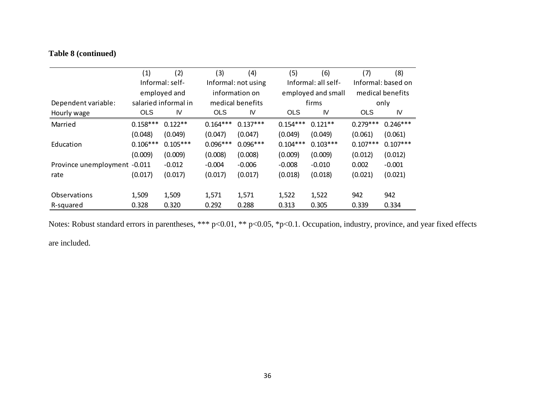# **Table 8 (continued)**

|                              | (1)        | (2)                  | (3)        | (4)                 | (5)        | (6)                 | (7)        | (8)                |
|------------------------------|------------|----------------------|------------|---------------------|------------|---------------------|------------|--------------------|
|                              |            | Informal: self-      |            | Informal: not using |            | Informal: all self- |            | Informal: based on |
|                              |            | employed and         |            | information on      |            | employed and small  |            | medical benefits   |
| Dependent variable:          |            | salaried informal in |            | medical benefits    |            | firms               |            | only               |
| Hourly wage                  | <b>OLS</b> | IV                   | <b>OLS</b> | IV                  | <b>OLS</b> | IV                  | <b>OLS</b> | IV.                |
| Married                      | $0.158***$ | $0.122**$            | $0.164***$ | $0.137***$          | $0.154***$ | $0.121**$           | $0.279***$ | $0.246***$         |
|                              | (0.048)    | (0.049)              | (0.047)    | (0.047)             | (0.049)    | (0.049)             | (0.061)    | (0.061)            |
| Education                    | $0.106***$ | $0.105***$           | $0.096***$ | $0.096***$          | $0.104***$ | $0.103***$          | $0.107***$ | $0.107***$         |
|                              | (0.009)    | (0.009)              | (0.008)    | (0.008)             | (0.009)    | (0.009)             | (0.012)    | (0.012)            |
| Province unemployment -0.011 |            | $-0.012$             | $-0.004$   | $-0.006$            | $-0.008$   | $-0.010$            | 0.002      | $-0.001$           |
| rate                         | (0.017)    | (0.017)              | (0.017)    | (0.017)             | (0.018)    | (0.018)             | (0.021)    | (0.021)            |
|                              |            |                      |            |                     |            |                     |            |                    |
| Observations                 | 1,509      | 1,509                | 1,571      | 1,571               | 1,522      | 1,522               | 942        | 942                |
| R-squared                    | 0.328      | 0.320                | 0.292      | 0.288               | 0.313      | 0.305               | 0.339      | 0.334              |

Notes: Robust standard errors in parentheses, \*\*\* p<0.01, \*\* p<0.05, \*p<0.1. Occupation, industry, province, and year fixed effects

are included.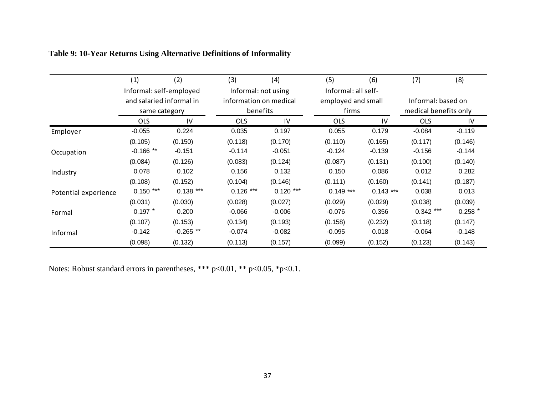|                      | (1)                      | (2)         | (3)                    | (4)         | (5)                 | (6)         | (7)                   | (8)         |
|----------------------|--------------------------|-------------|------------------------|-------------|---------------------|-------------|-----------------------|-------------|
|                      | Informal: self-employed  |             | Informal: not using    |             | Informal: all self- |             |                       |             |
|                      | and salaried informal in |             | information on medical |             | employed and small  |             | Informal: based on    |             |
|                      | same category            |             | benefits               |             | firms               |             | medical benefits only |             |
|                      | <b>OLS</b>               | IV          | <b>OLS</b>             | IV          | <b>OLS</b>          | IV          | <b>OLS</b>            | IV          |
| Employer             | $-0.055$                 | 0.224       | 0.035                  | 0.197       | 0.055               | 0.179       | $-0.084$              | $-0.119$    |
|                      | (0.105)                  | (0.150)     | (0.118)                | (0.170)     | (0.110)             | (0.165)     | (0.117)               | (0.146)     |
| Occupation           | $-0.166$ **              | $-0.151$    | $-0.114$               | $-0.051$    | $-0.124$            | $-0.139$    | $-0.156$              | $-0.144$    |
|                      | (0.084)                  | (0.126)     | (0.083)                | (0.124)     | (0.087)             | (0.131)     | (0.100)               | (0.140)     |
| Industry             | 0.078                    | 0.102       | 0.156                  | 0.132       | 0.150               | 0.086       | 0.012                 | 0.282       |
|                      | (0.108)                  | (0.152)     | (0.104)                | (0.146)     | (0.111)             | (0.160)     | (0.141)               | (0.187)     |
| Potential experience | $0.150***$               | $0.138***$  | $0.126$ ***            | $0.120$ *** | $0.149$ ***         | $0.143$ *** | 0.038                 | 0.013       |
|                      | (0.031)                  | (0.030)     | (0.028)                | (0.027)     | (0.029)             | (0.029)     | (0.038)               | (0.039)     |
| Formal               | $0.197$ *                | 0.200       | $-0.066$               | $-0.006$    | $-0.076$            | 0.356       | $0.342$ ***           | $0.258$ $*$ |
|                      | (0.107)                  | (0.153)     | (0.134)                | (0.193)     | (0.158)             | (0.232)     | (0.118)               | (0.147)     |
| Informal             | $-0.142$                 | $-0.265$ ** | $-0.074$               | $-0.082$    | $-0.095$            | 0.018       | $-0.064$              | $-0.148$    |
|                      | (0.098)                  | (0.132)     | (0.113)                | (0.157)     | (0.099)             | (0.152)     | (0.123)               | (0.143)     |

# **Table 9: 10-Year Returns Using Alternative Definitions of Informality**

Notes: Robust standard errors in parentheses, \*\*\* p<0.01, \*\* p<0.05, \*p<0.1.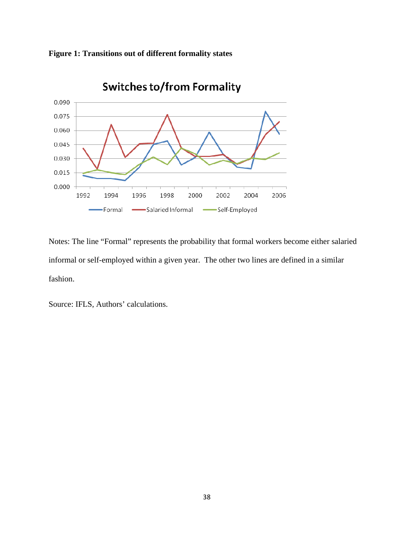



Notes: The line "Formal" represents the probability that formal workers become either salaried informal or self-employed within a given year. The other two lines are defined in a similar fashion.

Source: IFLS, Authors' calculations.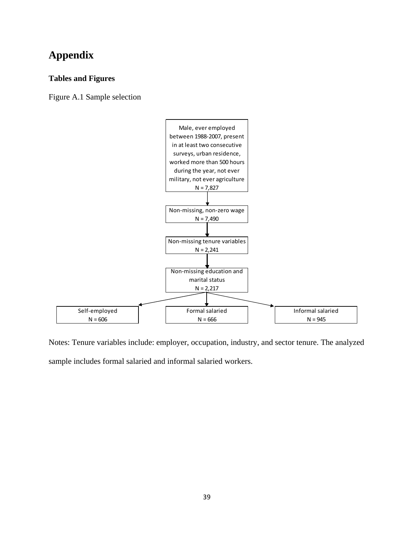# **Appendix**

## **Tables and Figures**

Figure A.1 Sample selection



Notes: Tenure variables include: employer, occupation, industry, and sector tenure. The analyzed sample includes formal salaried and informal salaried workers.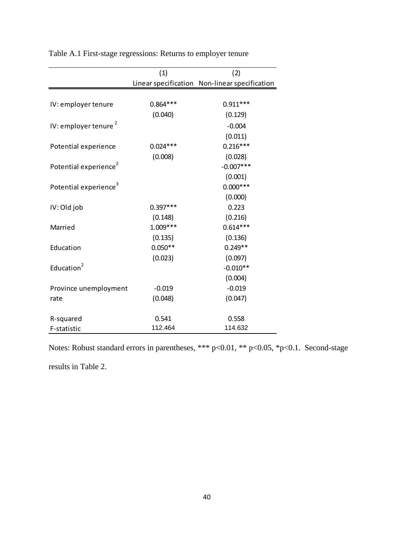|                                   | (1)        | (2)                                           |
|-----------------------------------|------------|-----------------------------------------------|
|                                   |            | Linear specification Non-linear specification |
|                                   |            |                                               |
| IV: employer tenure               | $0.864***$ | $0.911***$                                    |
|                                   | (0.040)    | (0.129)                                       |
| IV: employer tenure <sup>2</sup>  |            | $-0.004$                                      |
|                                   |            | (0.011)                                       |
| Potential experience              | $0.024***$ | $0.216***$                                    |
|                                   | (0.008)    | (0.028)                                       |
| Potential experience <sup>2</sup> |            | $-0.007***$                                   |
|                                   |            | (0.001)                                       |
| Potential experience <sup>3</sup> |            | $0.000***$                                    |
|                                   |            | (0.000)                                       |
| IV: Old job                       | $0.397***$ | 0.223                                         |
|                                   | (0.148)    | (0.216)                                       |
| Married                           | $1.009***$ | $0.614***$                                    |
|                                   | (0.135)    | (0.136)                                       |
| Education                         | $0.050**$  | $0.249**$                                     |
|                                   | (0.023)    | (0.097)                                       |
| Education <sup>2</sup>            |            | $-0.010**$                                    |
|                                   |            | (0.004)                                       |
| Province unemployment             | $-0.019$   | $-0.019$                                      |
| rate                              | (0.048)    | (0.047)                                       |
|                                   |            |                                               |
| R-squared                         | 0.541      | 0.558                                         |
| F-statistic                       | 112.464    | 114.632                                       |

Table A.1 First-stage regressions: Returns to employer tenure

Notes: Robust standard errors in parentheses, \*\*\* p<0.01, \*\* p<0.05, \*p<0.1. Second-stage

results in Table 2.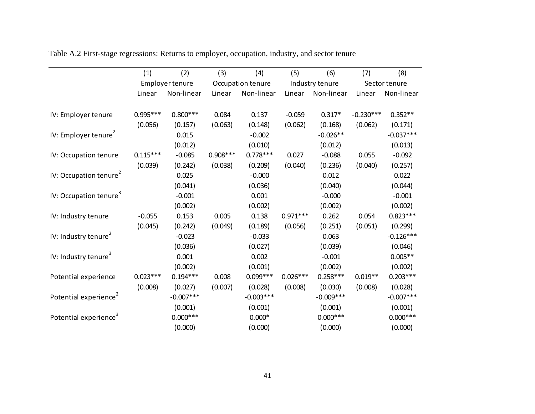|                                    | (1)        | (2)             | (3)        | (4)               | (5)        | (6)             | (7)         | (8)           |
|------------------------------------|------------|-----------------|------------|-------------------|------------|-----------------|-------------|---------------|
|                                    |            | Employer tenure |            | Occupation tenure |            | Industry tenure |             | Sector tenure |
|                                    | Linear     | Non-linear      | Linear     | Non-linear        | Linear     | Non-linear      | Linear      | Non-linear    |
|                                    |            |                 |            |                   |            |                 |             |               |
| IV: Employer tenure                | $0.995***$ | $0.800***$      | 0.084      | 0.137             | $-0.059$   | $0.317*$        | $-0.230***$ | $0.352**$     |
|                                    | (0.056)    | (0.157)         | (0.063)    | (0.148)           | (0.062)    | (0.168)         | (0.062)     | (0.171)       |
| IV: Employer tenure <sup>2</sup>   |            | 0.015           |            | $-0.002$          |            | $-0.026**$      |             | $-0.037***$   |
|                                    |            | (0.012)         |            | (0.010)           |            | (0.012)         |             | (0.013)       |
| IV: Occupation tenure              | $0.115***$ | $-0.085$        | $0.908***$ | $0.778***$        | 0.027      | $-0.088$        | 0.055       | $-0.092$      |
|                                    | (0.039)    | (0.242)         | (0.038)    | (0.209)           | (0.040)    | (0.236)         | (0.040)     | (0.257)       |
| IV: Occupation tenure <sup>2</sup> |            | 0.025           |            | $-0.000$          |            | 0.012           |             | 0.022         |
|                                    |            | (0.041)         |            | (0.036)           |            | (0.040)         |             | (0.044)       |
| IV: Occupation tenure <sup>3</sup> |            | $-0.001$        |            | 0.001             |            | $-0.000$        |             | $-0.001$      |
|                                    |            | (0.002)         |            | (0.002)           |            | (0.002)         |             | (0.002)       |
| IV: Industry tenure                | $-0.055$   | 0.153           | 0.005      | 0.138             | $0.971***$ | 0.262           | 0.054       | $0.823***$    |
|                                    | (0.045)    | (0.242)         | (0.049)    | (0.189)           | (0.056)    | (0.251)         | (0.051)     | (0.299)       |
| IV: Industry tenure <sup>2</sup>   |            | $-0.023$        |            | $-0.033$          |            | 0.063           |             | $-0.126***$   |
|                                    |            | (0.036)         |            | (0.027)           |            | (0.039)         |             | (0.046)       |
| IV: Industry tenure <sup>3</sup>   |            | 0.001           |            | 0.002             |            | $-0.001$        |             | $0.005**$     |
|                                    |            | (0.002)         |            | (0.001)           |            | (0.002)         |             | (0.002)       |
| Potential experience               | $0.023***$ | $0.194***$      | 0.008      | $0.099***$        | $0.026***$ | $0.258***$      | $0.019**$   | $0.203***$    |
|                                    | (0.008)    | (0.027)         | (0.007)    | (0.028)           | (0.008)    | (0.030)         | (0.008)     | (0.028)       |
| Potential experience <sup>2</sup>  |            | $-0.007***$     |            | $-0.003***$       |            | $-0.009***$     |             | $-0.007***$   |
|                                    |            | (0.001)         |            | (0.001)           |            | (0.001)         |             | (0.001)       |
| Potential experience <sup>3</sup>  |            | $0.000***$      |            | $0.000*$          |            | $0.000***$      |             | $0.000***$    |
|                                    |            | (0.000)         |            | (0.000)           |            | (0.000)         |             | (0.000)       |

Table A.2 First-stage regressions: Returns to employer, occupation, industry, and sector tenure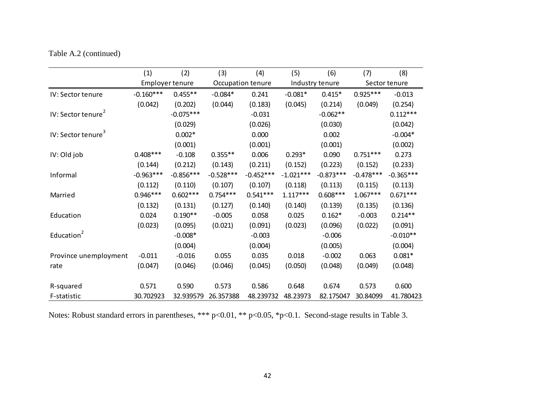Table A.2 (continued)

|                                | (1)         | (2)             | (3)         | (4)               | (5)         | (6)             | (7)         | (8)           |
|--------------------------------|-------------|-----------------|-------------|-------------------|-------------|-----------------|-------------|---------------|
|                                |             | Employer tenure |             | Occupation tenure |             | Industry tenure |             | Sector tenure |
| IV: Sector tenure              | $-0.160***$ | $0.455***$      | $-0.084*$   | 0.241             | $-0.081*$   | $0.415*$        | $0.925***$  | $-0.013$      |
|                                | (0.042)     | (0.202)         | (0.044)     | (0.183)           | (0.045)     | (0.214)         | (0.049)     | (0.254)       |
| IV: Sector tenure <sup>2</sup> |             | $-0.075***$     |             | $-0.031$          |             | $-0.062**$      |             | $0.112***$    |
|                                |             | (0.029)         |             | (0.026)           |             | (0.030)         |             | (0.042)       |
| IV: Sector tenure $3$          |             | $0.002*$        |             | 0.000             |             | 0.002           |             | $-0.004*$     |
|                                |             | (0.001)         |             | (0.001)           |             | (0.001)         |             | (0.002)       |
| IV: Old job                    | $0.408***$  | $-0.108$        | $0.355**$   | 0.006             | $0.293*$    | 0.090           | $0.751***$  | 0.273         |
|                                | (0.144)     | (0.212)         | (0.143)     | (0.211)           | (0.152)     | (0.223)         | (0.152)     | (0.233)       |
| Informal                       | $-0.963***$ | $-0.856***$     | $-0.528***$ | $-0.452***$       | $-1.021***$ | $-0.873***$     | $-0.478***$ | $-0.365***$   |
|                                | (0.112)     | (0.110)         | (0.107)     | (0.107)           | (0.118)     | (0.113)         | (0.115)     | (0.113)       |
| Married                        | $0.946***$  | $0.602***$      | $0.754***$  | $0.541***$        | $1.117***$  | $0.608***$      | $1.067***$  | $0.671***$    |
|                                | (0.132)     | (0.131)         | (0.127)     | (0.140)           | (0.140)     | (0.139)         | (0.135)     | (0.136)       |
| Education                      | 0.024       | $0.190**$       | $-0.005$    | 0.058             | 0.025       | $0.162*$        | $-0.003$    | $0.214**$     |
|                                | (0.023)     | (0.095)         | (0.021)     | (0.091)           | (0.023)     | (0.096)         | (0.022)     | (0.091)       |
| Education <sup>2</sup>         |             | $-0.008*$       |             | $-0.003$          |             | $-0.006$        |             | $-0.010**$    |
|                                |             | (0.004)         |             | (0.004)           |             | (0.005)         |             | (0.004)       |
| Province unemployment          | $-0.011$    | $-0.016$        | 0.055       | 0.035             | 0.018       | $-0.002$        | 0.063       | $0.081*$      |
| rate                           | (0.047)     | (0.046)         | (0.046)     | (0.045)           | (0.050)     | (0.048)         | (0.049)     | (0.048)       |
|                                |             |                 |             |                   |             |                 |             |               |
| R-squared                      | 0.571       | 0.590           | 0.573       | 0.586             | 0.648       | 0.674           | 0.573       | 0.600         |
| F-statistic                    | 30.702923   | 32.939579       | 26.357388   | 48.239732         | 48.23973    | 82.175047       | 30.84099    | 41.780423     |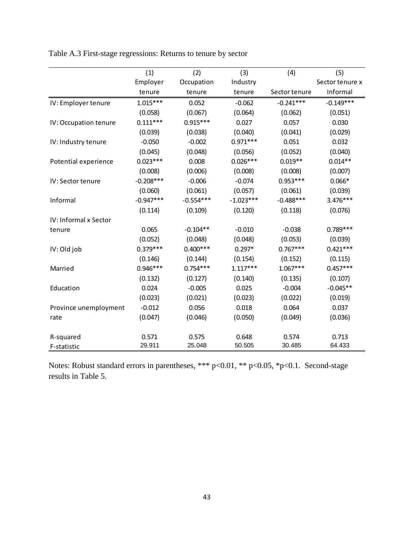|                       | (1)         | (2)         | (3)         | (4)           | (5)             |
|-----------------------|-------------|-------------|-------------|---------------|-----------------|
|                       | Employer    | Occupation  | Industry    |               | Sector tenure x |
|                       | tenure      | tenure      | tenure      | Sector tenure | Informal        |
| IV: Employer tenure   | $1.015***$  | 0.052       | $-0.062$    | $-0.241***$   | $-0.149***$     |
|                       | (0.058)     | (0.067)     | (0.064)     | (0.062)       | (0.051)         |
| IV: Occupation tenure | $0.111***$  | $0.915***$  | 0.027       | 0.057         | 0.030           |
|                       | (0.039)     | (0.038)     | (0.040)     | (0.041)       | (0.029)         |
| IV: Industry tenure   | $-0.050$    | $-0.002$    | $0.971***$  | 0.051         | 0.032           |
|                       | (0.045)     | (0.048)     | (0.056)     | (0.052)       | (0.040)         |
| Potential experience  | $0.023***$  | 0.008       | $0.026***$  | $0.019**$     | $0.014**$       |
|                       | (0.008)     | (0.006)     | (0.008)     | (0.008)       | (0.007)         |
| IV: Sector tenure     | $-0.208***$ | $-0.006$    | $-0.074$    | 0.953***      | $0.066*$        |
|                       | (0.060)     | (0.061)     | (0.057)     | (0.061)       | (0.039)         |
| Informal              | $-0.947***$ | $-0.554***$ | $-1.023***$ | $-0.488***$   | $3.476***$      |
|                       | (0.114)     | (0.109)     | (0.120)     | (0.118)       | (0.076)         |
| IV: Informal x Sector |             |             |             |               |                 |
| tenure                | 0.065       | $-0.104**$  | $-0.010$    | $-0.038$      | $0.789***$      |
|                       | (0.052)     | (0.048)     | (0.048)     | (0.053)       | (0.039)         |
| IV: Old job           | $0.379***$  | $0.400***$  | $0.297*$    | $0.767***$    | $0.421***$      |
|                       | (0.146)     | (0.144)     | (0.154)     | (0.152)       | (0.115)         |
| Married               | $0.946***$  | $0.754***$  | $1.117***$  | $1.067***$    | $0.457***$      |
|                       | (0.132)     | (0.127)     | (0.140)     | (0.135)       | (0.107)         |
| Education             | 0.024       | $-0.005$    | 0.025       | $-0.004$      | $-0.045**$      |
|                       | (0.023)     | (0.021)     | (0.023)     | (0.022)       | (0.019)         |
| Province unemployment | $-0.012$    | 0.056       | 0.018       | 0.064         | 0.037           |
| rate                  | (0.047)     | (0.046)     | (0.050)     | (0.049)       | (0.036)         |
|                       |             |             |             |               |                 |
| R-squared             | 0.571       | 0.575       | 0.648       | 0.574         | 0.713           |
| F-statistic           | 29.911      | 25.048      | 50.505      | 30.485        | 64.433          |

Table A.3 First-stage regressions: Returns to tenure by sector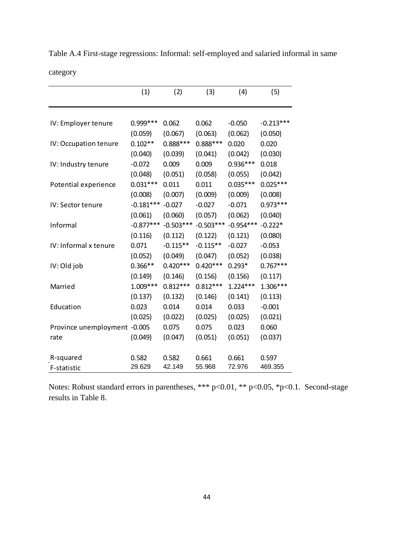Table A.4 First-stage regressions: Informal: self-employed and salaried informal in same

category

|                              | (1)         | (2)         | (3)         | (4)         | (5)         |
|------------------------------|-------------|-------------|-------------|-------------|-------------|
|                              |             |             |             |             |             |
| IV: Employer tenure          | $0.999***$  | 0.062       | 0.062       | $-0.050$    | $-0.213***$ |
|                              | (0.059)     | (0.067)     | (0.063)     | (0.062)     | (0.050)     |
| IV: Occupation tenure        | $0.102**$   | $0.888***$  | $0.888***$  | 0.020       | 0.020       |
|                              | (0.040)     | (0.039)     | (0.041)     | (0.042)     | (0.030)     |
| IV: Industry tenure          | $-0.072$    | 0.009       | 0.009       | $0.936***$  | 0.018       |
|                              | (0.048)     | (0.051)     | (0.058)     | (0.055)     | (0.042)     |
| Potential experience         | $0.031***$  | 0.011       | 0.011       | $0.035***$  | $0.025***$  |
|                              | (0.008)     | (0.007)     | (0.009)     | (0.009)     | (0.008)     |
| IV: Sector tenure            | $-0.181***$ | $-0.027$    | $-0.027$    | $-0.071$    | $0.973***$  |
|                              | (0.061)     | (0.060)     | (0.057)     | (0.062)     | (0.040)     |
| Informal                     | $-0.877***$ | $-0.503***$ | $-0.503***$ | $-0.954***$ | $-0.222*$   |
|                              | (0.116)     | (0.112)     | (0.122)     | (0.121)     | (0.080)     |
| IV: Informal x tenure        | 0.071       | $-0.115**$  | $-0.115**$  | $-0.027$    | $-0.053$    |
|                              | (0.052)     | (0.049)     | (0.047)     | (0.052)     | (0.038)     |
| IV: Old job                  | $0.366**$   | $0.420***$  | $0.420***$  | $0.293*$    | $0.767***$  |
|                              | (0.149)     | (0.146)     | (0.156)     | (0.156)     | (0.117)     |
| Married                      | $1.009***$  | $0.812***$  | $0.812***$  | $1.224***$  | 1.306***    |
|                              | (0.137)     | (0.132)     | (0.146)     | (0.141)     | (0.113)     |
| Education                    | 0.023       | 0.014       | 0.014       | 0.033       | $-0.001$    |
|                              | (0.025)     | (0.022)     | (0.025)     | (0.025)     | (0.021)     |
| Province unemployment -0.005 |             | 0.075       | 0.075       | 0.023       | 0.060       |
| rate                         | (0.049)     | (0.047)     | (0.051)     | (0.051)     | (0.037)     |
|                              |             |             |             |             |             |
| R-squared                    | 0.582       | 0.582       | 0.661       | 0.661       | 0.597       |
| F-statistic                  | 29.629      | 42.149      | 55.968      | 72.976      | 469.355     |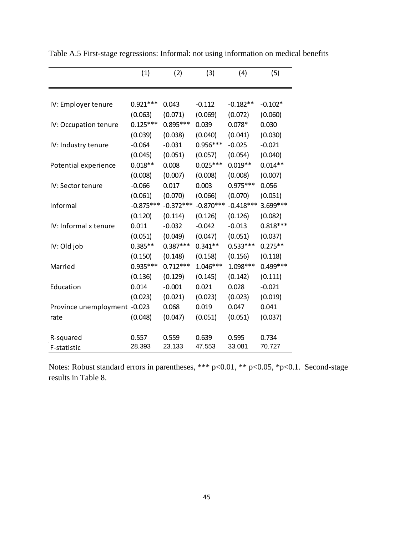|                              | (1)         | (2)         | (3)         | (4)         | (5)        |
|------------------------------|-------------|-------------|-------------|-------------|------------|
|                              |             |             |             |             |            |
| IV: Employer tenure          | $0.921***$  | 0.043       | $-0.112$    | $-0.182**$  | $-0.102*$  |
|                              | (0.063)     | (0.071)     | (0.069)     | (0.072)     | (0.060)    |
| IV: Occupation tenure        | $0.125***$  | $0.895***$  | 0.039       | $0.078*$    | 0.030      |
|                              | (0.039)     | (0.038)     | (0.040)     | (0.041)     | (0.030)    |
| IV: Industry tenure          | $-0.064$    | $-0.031$    | $0.956***$  | $-0.025$    | $-0.021$   |
|                              | (0.045)     | (0.051)     | (0.057)     | (0.054)     | (0.040)    |
| Potential experience         | $0.018**$   | 0.008       | $0.025***$  | $0.019**$   | $0.014**$  |
|                              | (0.008)     | (0.007)     | (0.008)     | (0.008)     | (0.007)    |
| IV: Sector tenure            | $-0.066$    | 0.017       | 0.003       | $0.975***$  | 0.056      |
|                              | (0.061)     | (0.070)     | (0.066)     | (0.070)     | (0.051)    |
| Informal                     | $-0.875***$ | $-0.372***$ | $-0.870***$ | $-0.418***$ | 3.699***   |
|                              | (0.120)     | (0.114)     | (0.126)     | (0.126)     | (0.082)    |
| IV: Informal x tenure        | 0.011       | $-0.032$    | $-0.042$    | $-0.013$    | $0.818***$ |
|                              | (0.051)     | (0.049)     | (0.047)     | (0.051)     | (0.037)    |
| IV: Old job                  | $0.385**$   | $0.387***$  | $0.341**$   | $0.533***$  | $0.275**$  |
|                              | (0.150)     | (0.148)     | (0.158)     | (0.156)     | (0.118)    |
| Married                      | 0.935***    | $0.712***$  | $1.046***$  | 1.098***    | $0.499***$ |
|                              | (0.136)     | (0.129)     | (0.145)     | (0.142)     | (0.111)    |
| Education                    | 0.014       | $-0.001$    | 0.021       | 0.028       | $-0.021$   |
|                              | (0.023)     | (0.021)     | (0.023)     | (0.023)     | (0.019)    |
| Province unemployment -0.023 |             | 0.068       | 0.019       | 0.047       | 0.041      |
| rate                         | (0.048)     | (0.047)     | (0.051)     | (0.051)     | (0.037)    |
|                              |             |             |             |             |            |
| R-squared                    | 0.557       | 0.559       | 0.639       | 0.595       | 0.734      |
| F-statistic                  | 28.393      | 23.133      | 47.553      | 33.081      | 70.727     |

Table A.5 First-stage regressions: Informal: not using information on medical benefits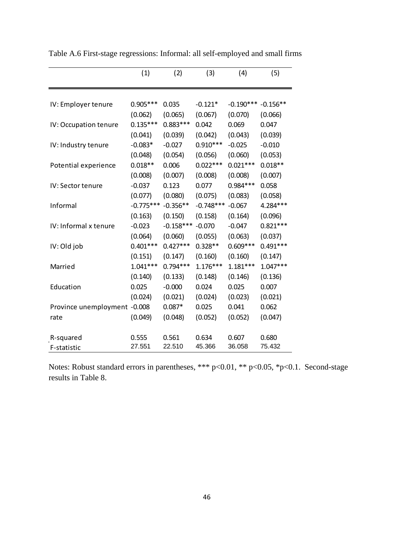|                              | (1)         | (2)         | (3)         | (4)         | (5)        |
|------------------------------|-------------|-------------|-------------|-------------|------------|
|                              |             |             |             |             |            |
| IV: Employer tenure          | $0.905***$  | 0.035       | $-0.121*$   | $-0.190***$ | $-0.156**$ |
|                              | (0.062)     | (0.065)     | (0.067)     | (0.070)     | (0.066)    |
| IV: Occupation tenure        | $0.135***$  | $0.883***$  | 0.042       | 0.069       | 0.047      |
|                              | (0.041)     | (0.039)     | (0.042)     | (0.043)     | (0.039)    |
| IV: Industry tenure          | $-0.083*$   | $-0.027$    | $0.910***$  | $-0.025$    | $-0.010$   |
|                              | (0.048)     | (0.054)     | (0.056)     | (0.060)     | (0.053)    |
| Potential experience         | $0.018**$   | 0.006       | $0.022***$  | $0.021***$  | $0.018**$  |
|                              | (0.008)     | (0.007)     | (0.008)     | (0.008)     | (0.007)    |
| IV: Sector tenure            | $-0.037$    | 0.123       | 0.077       | $0.984***$  | 0.058      |
|                              | (0.077)     | (0.080)     | (0.075)     | (0.083)     | (0.058)    |
| Informal                     | $-0.775***$ | $-0.356**$  | $-0.748***$ | $-0.067$    | 4.284 ***  |
|                              | (0.163)     | (0.150)     | (0.158)     | (0.164)     | (0.096)    |
| IV: Informal x tenure        | $-0.023$    | $-0.158***$ | $-0.070$    | $-0.047$    | $0.821***$ |
|                              | (0.064)     | (0.060)     | (0.055)     | (0.063)     | (0.037)    |
| IV: Old job                  | $0.401***$  | $0.427***$  | $0.328**$   | $0.609***$  | $0.491***$ |
|                              | (0.151)     | (0.147)     | (0.160)     | (0.160)     | (0.147)    |
| Married                      | $1.041***$  | $0.794***$  | $1.176***$  | $1.181***$  | $1.047***$ |
|                              | (0.140)     | (0.133)     | (0.148)     | (0.146)     | (0.136)    |
| Education                    | 0.025       | $-0.000$    | 0.024       | 0.025       | 0.007      |
|                              | (0.024)     | (0.021)     | (0.024)     | (0.023)     | (0.021)    |
| Province unemployment -0.008 |             | $0.087*$    | 0.025       | 0.041       | 0.062      |
| rate                         | (0.049)     | (0.048)     | (0.052)     | (0.052)     | (0.047)    |
|                              |             |             |             |             |            |
| R-squared                    | 0.555       | 0.561       | 0.634       | 0.607       | 0.680      |
| F-statistic                  | 27.551      | 22.510      | 45.366      | 36.058      | 75.432     |

Table A.6 First-stage regressions: Informal: all self-employed and small firms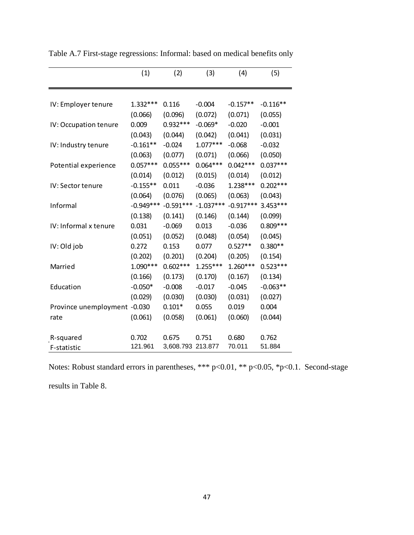|                              | (1)         | (2)               | (3)         | (4)         | (5)        |
|------------------------------|-------------|-------------------|-------------|-------------|------------|
|                              |             |                   |             |             |            |
| IV: Employer tenure          | $1.332***$  | 0.116             | $-0.004$    | $-0.157**$  | $-0.116**$ |
|                              | (0.066)     | (0.096)           | (0.072)     | (0.071)     | (0.055)    |
| IV: Occupation tenure        | 0.009       | $0.932***$        | $-0.069*$   | $-0.020$    | $-0.001$   |
|                              | (0.043)     | (0.044)           | (0.042)     | (0.041)     | (0.031)    |
| IV: Industry tenure          | $-0.161**$  | $-0.024$          | $1.077***$  | $-0.068$    | $-0.032$   |
|                              | (0.063)     | (0.077)           | (0.071)     | (0.066)     | (0.050)    |
| Potential experience         | $0.057***$  | $0.055***$        | $0.064***$  | $0.042***$  | $0.037***$ |
|                              | (0.014)     | (0.012)           | (0.015)     | (0.014)     | (0.012)    |
| IV: Sector tenure            | $-0.155**$  | 0.011             | $-0.036$    | 1.238***    | $0.202***$ |
|                              | (0.064)     | (0.076)           | (0.065)     | (0.063)     | (0.043)    |
| Informal                     | $-0.949***$ | $-0.591***$       | $-1.037***$ | $-0.917***$ | $3.453***$ |
|                              | (0.138)     | (0.141)           | (0.146)     | (0.144)     | (0.099)    |
| IV: Informal x tenure        | 0.031       | $-0.069$          | 0.013       | $-0.036$    | $0.809***$ |
|                              | (0.051)     | (0.052)           | (0.048)     | (0.054)     | (0.045)    |
| IV: Old job                  | 0.272       | 0.153             | 0.077       | $0.527**$   | $0.380**$  |
|                              | (0.202)     | (0.201)           | (0.204)     | (0.205)     | (0.154)    |
| Married                      | 1.090***    | $0.602***$        | $1.255***$  | $1.260***$  | $0.523***$ |
|                              | (0.166)     | (0.173)           | (0.170)     | (0.167)     | (0.134)    |
| Education                    | $-0.050*$   | $-0.008$          | $-0.017$    | $-0.045$    | $-0.063**$ |
|                              | (0.029)     | (0.030)           | (0.030)     | (0.031)     | (0.027)    |
| Province unemployment -0.030 |             | $0.101*$          | 0.055       | 0.019       | 0.004      |
| rate                         | (0.061)     | (0.058)           | (0.061)     | (0.060)     | (0.044)    |
|                              |             |                   |             |             |            |
| R-squared                    | 0.702       | 0.675             | 0.751       | 0.680       | 0.762      |
| F-statistic                  | 121.961     | 3,608.793 213.877 |             | 70.011      | 51.884     |

Table A.7 First-stage regressions: Informal: based on medical benefits only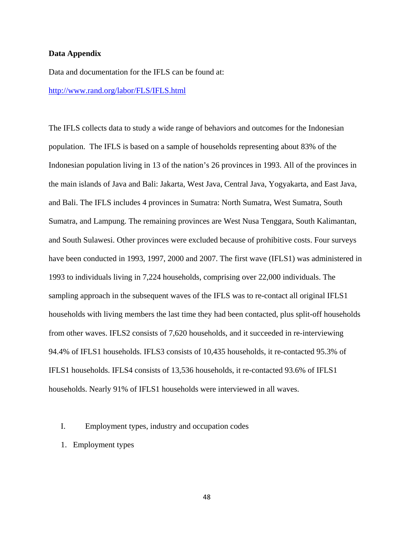#### **Data Appendix**

Data and documentation for the IFLS can be found at:

#### http://www.rand.org/labor/FLS/IFLS.html

The IFLS collects data to study a wide range of behaviors and outcomes for the Indonesian population. The IFLS is based on a sample of households representing about 83% of the Indonesian population living in 13 of the nation's 26 provinces in 1993. All of the provinces in the main islands of Java and Bali: Jakarta, West Java, Central Java, Yogyakarta, and East Java, and Bali. The IFLS includes 4 provinces in Sumatra: North Sumatra, West Sumatra, South Sumatra, and Lampung. The remaining provinces are West Nusa Tenggara, South Kalimantan, and South Sulawesi. Other provinces were excluded because of prohibitive costs. Four surveys have been conducted in 1993, 1997, 2000 and 2007. The first wave (IFLS1) was administered in 1993 to individuals living in 7,224 households, comprising over 22,000 individuals. The sampling approach in the subsequent waves of the IFLS was to re-contact all original IFLS1 households with living members the last time they had been contacted, plus split-off households from other waves. IFLS2 consists of 7,620 households, and it succeeded in re-interviewing 94.4% of IFLS1 households. IFLS3 consists of 10,435 households, it re-contacted 95.3% of IFLS1 households. IFLS4 consists of 13,536 households, it re-contacted 93.6% of IFLS1 households. Nearly 91% of IFLS1 households were interviewed in all waves.

#### I. Employment types, industry and occupation codes

1. Employment types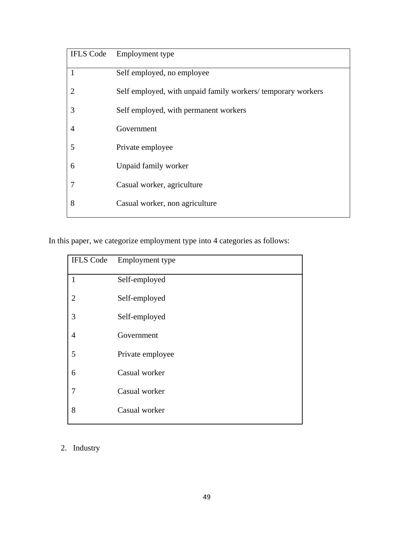|                | IFLS Code Employment type                                   |
|----------------|-------------------------------------------------------------|
| $\mathbf{1}$   | Self employed, no employee                                  |
| $\overline{2}$ | Self employed, with unpaid family workers/temporary workers |
| 3              | Self employed, with permanent workers                       |
| 4              | Government                                                  |
| 5              | Private employee                                            |
| 6              | Unpaid family worker                                        |
| 7              | Casual worker, agriculture                                  |
| 8              | Casual worker, non agriculture                              |

In this paper, we categorize employment type into 4 categories as follows:

| <b>IFLS Code</b> | Employment type  |
|------------------|------------------|
| 1                | Self-employed    |
| $\overline{2}$   | Self-employed    |
| 3                | Self-employed    |
| $\overline{4}$   | Government       |
| 5                | Private employee |
| 6                | Casual worker    |
| 7                | Casual worker    |
| 8                | Casual worker    |
|                  |                  |

# 2. Industry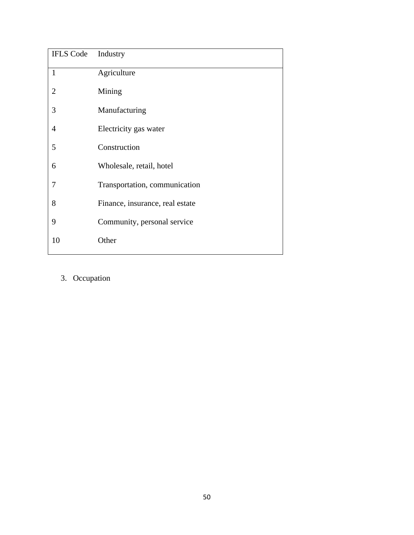| <b>IFLS Code</b> | Industry                        |
|------------------|---------------------------------|
| $\mathbf{1}$     | Agriculture                     |
| 2                | Mining                          |
| 3                | Manufacturing                   |
| $\overline{4}$   | Electricity gas water           |
| 5                | Construction                    |
| 6                | Wholesale, retail, hotel        |
| 7                | Transportation, communication   |
| 8                | Finance, insurance, real estate |
| 9                | Community, personal service     |
| 10               | Other                           |

# 3. Occupation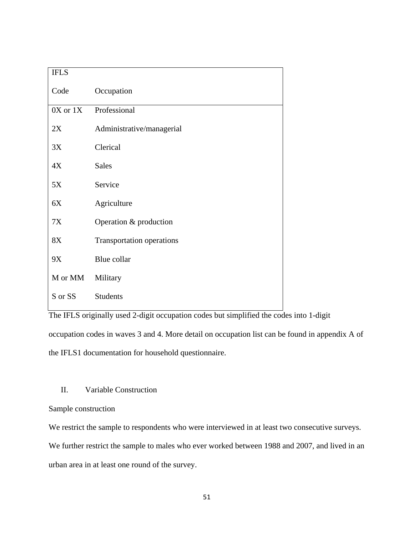| <b>IFLS</b>   |                                  |
|---------------|----------------------------------|
| Code          | Occupation                       |
| $0X$ or $1X$  | Professional                     |
| 2X            | Administrative/managerial        |
| 3X            | Clerical                         |
| $4\mathrm{X}$ | <b>Sales</b>                     |
| 5X            | Service                          |
| 6X            | Agriculture                      |
| <b>7X</b>     | Operation & production           |
| <b>8X</b>     | <b>Transportation operations</b> |
| 9X            | Blue collar                      |
| M or MM       | Military                         |
| S or SS       | <b>Students</b>                  |

The IFLS originally used 2-digit occupation codes but simplified the codes into 1-digit occupation codes in waves 3 and 4. More detail on occupation list can be found in appendix A of the IFLS1 documentation for household questionnaire.

#### II. Variable Construction

Sample construction

We restrict the sample to respondents who were interviewed in at least two consecutive surveys. We further restrict the sample to males who ever worked between 1988 and 2007, and lived in an

urban area in at least one round of the survey.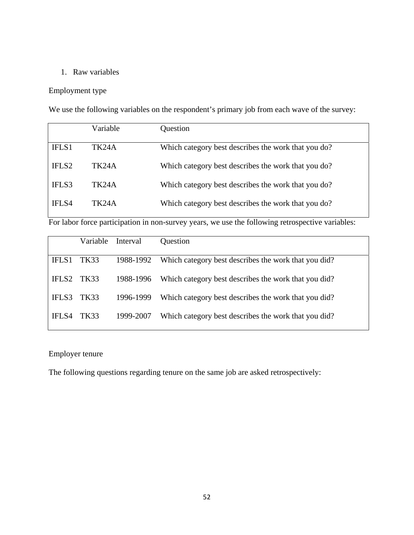#### 1. Raw variables

## Employment type

We use the following variables on the respondent's primary job from each wave of the survey:

|                   | Variable | Question                                            |
|-------------------|----------|-----------------------------------------------------|
| IFLS1             | TK24A    | Which category best describes the work that you do? |
| IFLS <sub>2</sub> | TK24A    | Which category best describes the work that you do? |
| IFLS3             | TK24A    | Which category best describes the work that you do? |
| IFLS4             | TK24A    | Which category best describes the work that you do? |

For labor force participation in non-survey years, we use the following retrospective variables:

|       | Variable Interval |           | Question                                             |
|-------|-------------------|-----------|------------------------------------------------------|
|       |                   |           |                                                      |
| IFLS1 | <b>TK33</b>       | 1988-1992 | Which category best describes the work that you did? |
| IFLS2 | TK33              | 1988-1996 | Which category best describes the work that you did? |
| IFLS3 | TK33              | 1996-1999 | Which category best describes the work that you did? |
| IFLS4 | TK33              | 1999-2007 | Which category best describes the work that you did? |

#### Employer tenure

The following questions regarding tenure on the same job are asked retrospectively: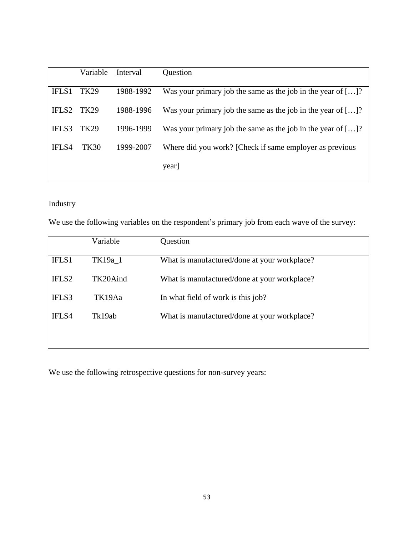|                   | Variable | Interval  | Question                                                       |
|-------------------|----------|-----------|----------------------------------------------------------------|
|                   |          |           |                                                                |
| IFLS1             | TK29     | 1988-1992 | Was your primary job the same as the job in the year of $[]$ ? |
| IFLS2             | TK29     | 1988-1996 | Was your primary job the same as the job in the year of $[]$ ? |
| IFLS3             | TK29     | 1996-1999 | Was your primary job the same as the job in the year of $[]$ ? |
| IFL <sub>S4</sub> | TK30     |           |                                                                |
|                   |          | 1999-2007 | Where did you work? [Check if same employer as previous        |
|                   |          |           | year                                                           |
|                   |          |           |                                                                |

## Industry

We use the following variables on the respondent's primary job from each wave of the survey:

|                   | Variable | Question                                     |
|-------------------|----------|----------------------------------------------|
| IFLS1             | TK19a 1  | What is manufactured/done at your workplace? |
| IFLS <sub>2</sub> | TK20Aind | What is manufactured/done at your workplace? |
| IFLS3             | TK19Aa   | In what field of work is this job?           |
| IFLS4             | Tk19ab   | What is manufactured/done at your workplace? |
|                   |          |                                              |
|                   |          |                                              |

We use the following retrospective questions for non-survey years: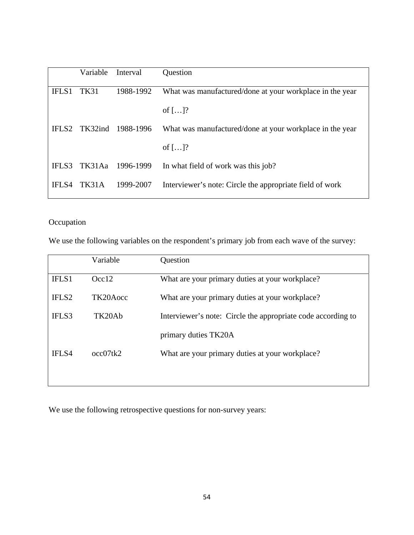|                   | Variable | Interval  | Question                                                 |
|-------------------|----------|-----------|----------------------------------------------------------|
| IFLS1             | TK31     | 1988-1992 | What was manufactured/done at your workplace in the year |
|                   |          |           | of $[]$ ?                                                |
| IFLS <sub>2</sub> | TK32ind  | 1988-1996 | What was manufactured/done at your workplace in the year |
|                   |          |           | of $[]$ ?                                                |
| IFLS3             | TK31Aa   | 1996-1999 | In what field of work was this job?                      |
| IFL <sub>S4</sub> | TK31A    | 1999-2007 | Interviewer's note: Circle the appropriate field of work |

## Occupation

We use the following variables on the respondent's primary job from each wave of the survey:

|                   | Variable | Question                                                     |
|-------------------|----------|--------------------------------------------------------------|
| IFLS1             | Occ12    | What are your primary duties at your workplace?              |
| IFLS <sub>2</sub> | TK20Aocc | What are your primary duties at your workplace?              |
| IFLS3             | TK20Ab   | Interviewer's note: Circle the appropriate code according to |
|                   |          | primary duties TK20A                                         |
| IFLS4             | occ07tk2 | What are your primary duties at your workplace?              |
|                   |          |                                                              |

We use the following retrospective questions for non-survey years: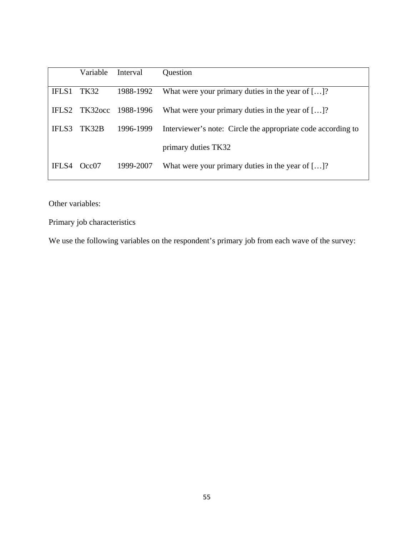|                   | Variable | Interval  | Question                                                     |
|-------------------|----------|-----------|--------------------------------------------------------------|
|                   |          |           |                                                              |
| IFLS1             | TK32     | 1988-1992 | What were your primary duties in the year of $[]$ ?          |
| IFLS <sub>2</sub> | TK32occ  | 1988-1996 | What were your primary duties in the year of $[]$ ?          |
|                   |          |           |                                                              |
| IFLS3             | TK32B    | 1996-1999 | Interviewer's note: Circle the appropriate code according to |
|                   |          |           |                                                              |
|                   |          |           | primary duties TK32                                          |
| IFLS4             | Occ07    | 1999-2007 | What were your primary duties in the year of $[]$ ?          |
|                   |          |           |                                                              |

Other variables:

Primary job characteristics

We use the following variables on the respondent's primary job from each wave of the survey: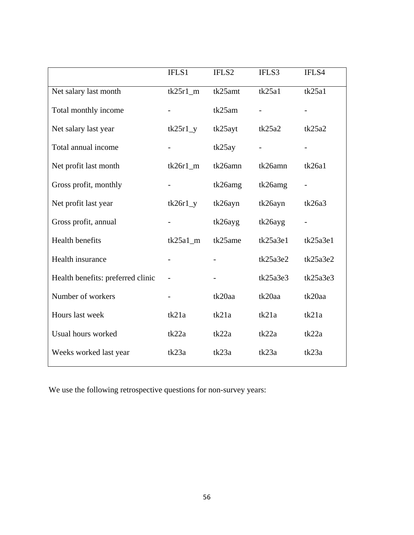|                                   | IFLS1      | IFLS2   | IFLS3                    | IFLS4    |
|-----------------------------------|------------|---------|--------------------------|----------|
| Net salary last month             | $tk25r1_m$ | tk25amt | tk25a1                   | tk25a1   |
| Total monthly income              |            | tk25am  | $\overline{\phantom{0}}$ |          |
| Net salary last year              | $tk25r1_y$ | tk25ayt | tk25a2                   | tk25a2   |
| Total annual income               |            | tk25ay  |                          |          |
| Net profit last month             | $tk26r1_m$ | tk26amn | tk26amn                  | tk26a1   |
| Gross profit, monthly             |            | tk26amg | tk26amg                  |          |
| Net profit last year              | $tk26r1_y$ | tk26ayn | tk26ayn                  | tk26a3   |
| Gross profit, annual              |            | tk26ayg | tk26ayg                  |          |
| Health benefits                   | $tk25a1_m$ | tk25ame | tk25a3e1                 | tk25a3e1 |
| Health insurance                  |            |         | tk25a3e2                 | tk25a3e2 |
| Health benefits: preferred clinic |            |         | tk25a3e3                 | tk25a3e3 |
| Number of workers                 |            | tk20aa  | tk20aa                   | tk20aa   |
| Hours last week                   | tk21a      | tk21a   | tk21a                    | tk21a    |
| Usual hours worked                | tk22a      | tk22a   | tk22a                    | tk22a    |
| Weeks worked last year            | tk23a      | tk23a   | tk23a                    | tk23a    |

We use the following retrospective questions for non-survey years: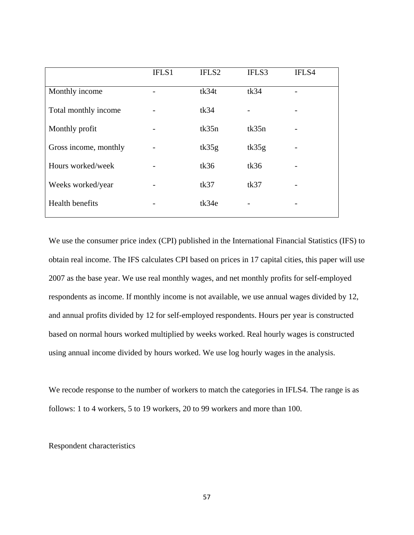|                        | IFLS1 | IFLS2 | IFLS3 | IFLS4 |
|------------------------|-------|-------|-------|-------|
| Monthly income         |       | tk34t | tk34  |       |
| Total monthly income   |       | tk34  |       |       |
| Monthly profit         |       | tk35n | tk35n |       |
| Gross income, monthly  |       | tk35g | tk35g |       |
| Hours worked/week      |       | tk36  | tk36  |       |
| Weeks worked/year      |       | tk37  | tk37  |       |
| <b>Health benefits</b> |       | tk34e |       |       |

We use the consumer price index (CPI) published in the International Financial Statistics (IFS) to obtain real income. The IFS calculates CPI based on prices in 17 capital cities, this paper will use 2007 as the base year. We use real monthly wages, and net monthly profits for self-employed respondents as income. If monthly income is not available, we use annual wages divided by 12, and annual profits divided by 12 for self-employed respondents. Hours per year is constructed based on normal hours worked multiplied by weeks worked. Real hourly wages is constructed using annual income divided by hours worked. We use log hourly wages in the analysis.

We recode response to the number of workers to match the categories in IFLS4. The range is as follows: 1 to 4 workers, 5 to 19 workers, 20 to 99 workers and more than 100.

Respondent characteristics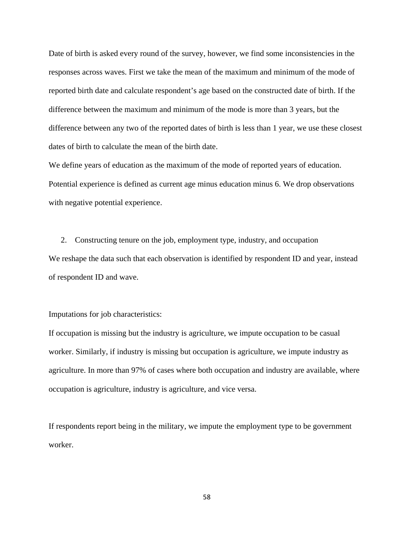Date of birth is asked every round of the survey, however, we find some inconsistencies in the responses across waves. First we take the mean of the maximum and minimum of the mode of reported birth date and calculate respondent's age based on the constructed date of birth. If the difference between the maximum and minimum of the mode is more than 3 years, but the difference between any two of the reported dates of birth is less than 1 year, we use these closest dates of birth to calculate the mean of the birth date.

We define years of education as the maximum of the mode of reported years of education. Potential experience is defined as current age minus education minus 6. We drop observations with negative potential experience.

2. Constructing tenure on the job, employment type, industry, and occupation We reshape the data such that each observation is identified by respondent ID and year, instead of respondent ID and wave.

Imputations for job characteristics:

If occupation is missing but the industry is agriculture, we impute occupation to be casual worker. Similarly, if industry is missing but occupation is agriculture, we impute industry as agriculture. In more than 97% of cases where both occupation and industry are available, where occupation is agriculture, industry is agriculture, and vice versa.

If respondents report being in the military, we impute the employment type to be government worker.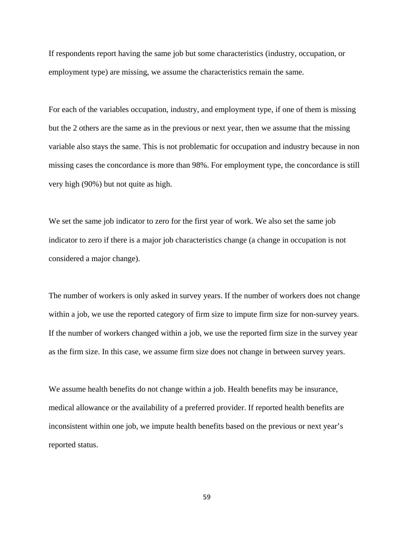If respondents report having the same job but some characteristics (industry, occupation, or employment type) are missing, we assume the characteristics remain the same.

For each of the variables occupation, industry, and employment type, if one of them is missing but the 2 others are the same as in the previous or next year, then we assume that the missing variable also stays the same. This is not problematic for occupation and industry because in non missing cases the concordance is more than 98%. For employment type, the concordance is still very high (90%) but not quite as high.

We set the same job indicator to zero for the first year of work. We also set the same job indicator to zero if there is a major job characteristics change (a change in occupation is not considered a major change).

The number of workers is only asked in survey years. If the number of workers does not change within a job, we use the reported category of firm size to impute firm size for non-survey years. If the number of workers changed within a job, we use the reported firm size in the survey year as the firm size. In this case, we assume firm size does not change in between survey years.

We assume health benefits do not change within a job. Health benefits may be insurance, medical allowance or the availability of a preferred provider. If reported health benefits are inconsistent within one job, we impute health benefits based on the previous or next year's reported status.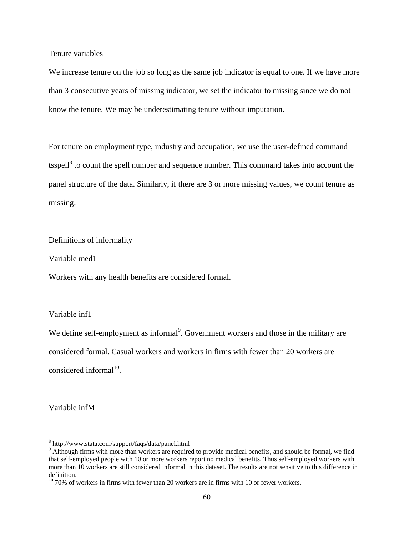Tenure variables

We increase tenure on the job so long as the same job indicator is equal to one. If we have more than 3 consecutive years of missing indicator, we set the indicator to missing since we do not know the tenure. We may be underestimating tenure without imputation.

For tenure on employment type, industry and occupation, we use the user-defined command tsspell $^8$  to count the spell number and sequence number. This command takes into account the panel structure of the data. Similarly, if there are 3 or more missing values, we count tenure as missing.

Definitions of informality

Variable med1

Workers with any health benefits are considered formal.

Variable inf1

We define self-employment as informal<sup>9</sup>. Government workers and those in the military are considered formal. Casual workers and workers in firms with fewer than 20 workers are considered informal $^{10}$ .

Variable infM

 8 http://www.stata.com/support/faqs/data/panel.html

<sup>&</sup>lt;sup>9</sup> Although firms with more than workers are required to provide medical benefits, and should be formal, we find that self-employed people with 10 or more workers report no medical benefits. Thus self-employed workers with more than 10 workers are still considered informal in this dataset. The results are not sensitive to this difference in definition.

 $10$  70% of workers in firms with fewer than 20 workers are in firms with 10 or fewer workers.